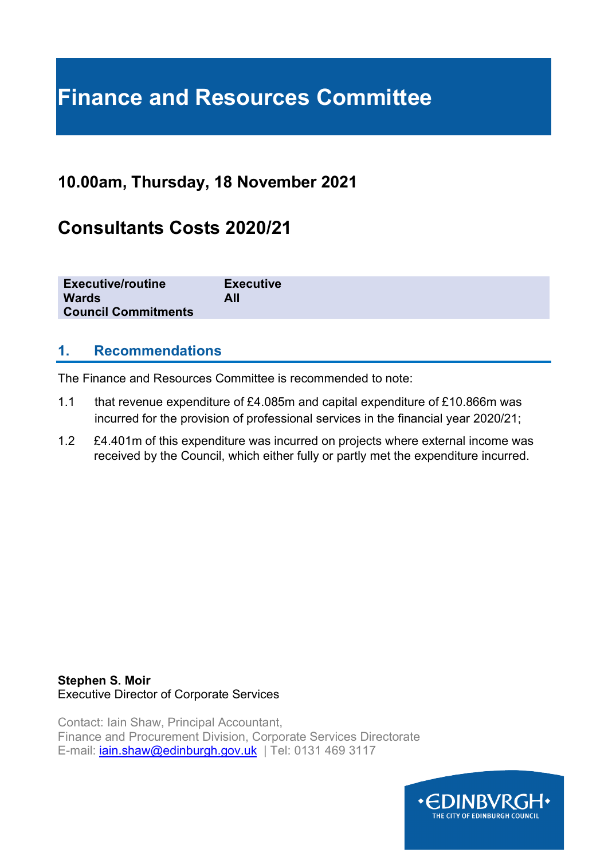# **Finance and Resources Committee**

## **10.00am, Thursday, 18 November 2021**

## **Consultants Costs 2020/21**

| <b>Executive/routine</b><br><b>Executive</b><br><b>Wards</b><br>All<br><b>Council Commitments</b> |
|---------------------------------------------------------------------------------------------------|
|---------------------------------------------------------------------------------------------------|

## **1. Recommendations**

The Finance and Resources Committee is recommended to note:

- 1.1 that revenue expenditure of £4.085m and capital expenditure of £10.866m was incurred for the provision of professional services in the financial year 2020/21;
- 1.2 £4.401m of this expenditure was incurred on projects where external income was received by the Council, which either fully or partly met the expenditure incurred.

#### **Stephen S. Moir** Executive Director of Corporate Services

Contact: Iain Shaw, Principal Accountant, Finance and Procurement Division, Corporate Services Directorate E-mail: [iain.shaw@edinburgh.gov.uk](mailto:iain.shaw@edinburgh.gov.uk) | Tel: 0131 469 3117

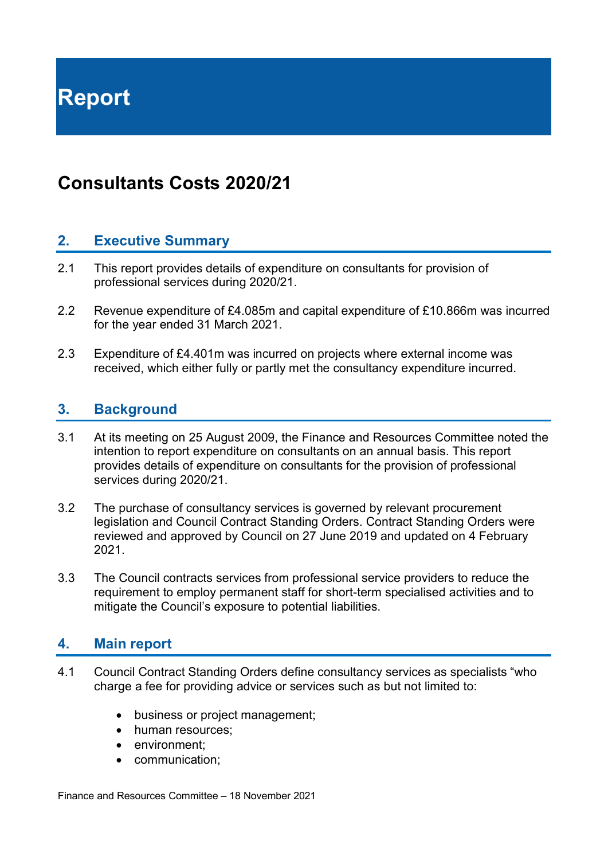**Report**

## **Consultants Costs 2020/21**

## **2. Executive Summary**

- 2.1 This report provides details of expenditure on consultants for provision of professional services during 2020/21.
- 2.2 Revenue expenditure of £4.085m and capital expenditure of £10.866m was incurred for the year ended 31 March 2021.
- 2.3 Expenditure of £4.401m was incurred on projects where external income was received, which either fully or partly met the consultancy expenditure incurred.

### **3. Background**

- 3.1 At its meeting on 25 August 2009, the Finance and Resources Committee noted the intention to report expenditure on consultants on an annual basis. This report provides details of expenditure on consultants for the provision of professional services during 2020/21.
- 3.2 The purchase of consultancy services is governed by relevant procurement legislation and Council Contract Standing Orders. Contract Standing Orders were reviewed and approved by Council on 27 June 2019 and updated on 4 February 2021.
- 3.3 The Council contracts services from professional service providers to reduce the requirement to employ permanent staff for short-term specialised activities and to mitigate the Council's exposure to potential liabilities.

## **4. Main report**

- 4.1 Council Contract Standing Orders define consultancy services as specialists "who charge a fee for providing advice or services such as but not limited to:
	- business or project management;
	- human resources:
	- environment:
	- communication;

Finance and Resources Committee – 18 November 2021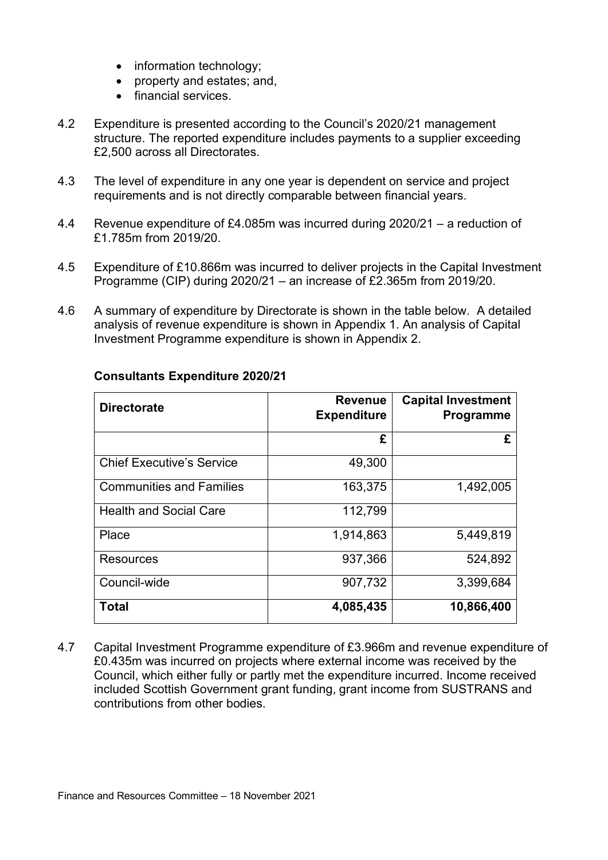- information technology;
- property and estates; and,
- financial services.
- 4.2 Expenditure is presented according to the Council's 2020/21 management structure. The reported expenditure includes payments to a supplier exceeding £2,500 across all Directorates.
- 4.3 The level of expenditure in any one year is dependent on service and project requirements and is not directly comparable between financial years.
- 4.4 Revenue expenditure of £4.085m was incurred during 2020/21 a reduction of £1.785m from 2019/20.
- 4.5 Expenditure of £10.866m was incurred to deliver projects in the Capital Investment Programme (CIP) during 2020/21 – an increase of £2.365m from 2019/20.
- 4.6 A summary of expenditure by Directorate is shown in the table below. A detailed analysis of revenue expenditure is shown in Appendix 1. An analysis of Capital Investment Programme expenditure is shown in Appendix 2.

| <b>Directorate</b>               | <b>Revenue</b><br><b>Expenditure</b> | <b>Capital Investment</b><br>Programme |
|----------------------------------|--------------------------------------|----------------------------------------|
|                                  | £                                    | £                                      |
| <b>Chief Executive's Service</b> | 49,300                               |                                        |
| <b>Communities and Families</b>  | 163,375                              | 1,492,005                              |
| <b>Health and Social Care</b>    | 112,799                              |                                        |
| Place                            | 1,914,863                            | 5,449,819                              |
| Resources                        | 937,366                              | 524,892                                |
| Council-wide                     | 907,732                              | 3,399,684                              |
| <b>Total</b>                     | 4,085,435                            | 10,866,400                             |

#### **Consultants Expenditure 2020/21**

4.7 Capital Investment Programme expenditure of £3.966m and revenue expenditure of £0.435m was incurred on projects where external income was received by the Council, which either fully or partly met the expenditure incurred. Income received included Scottish Government grant funding, grant income from SUSTRANS and contributions from other bodies.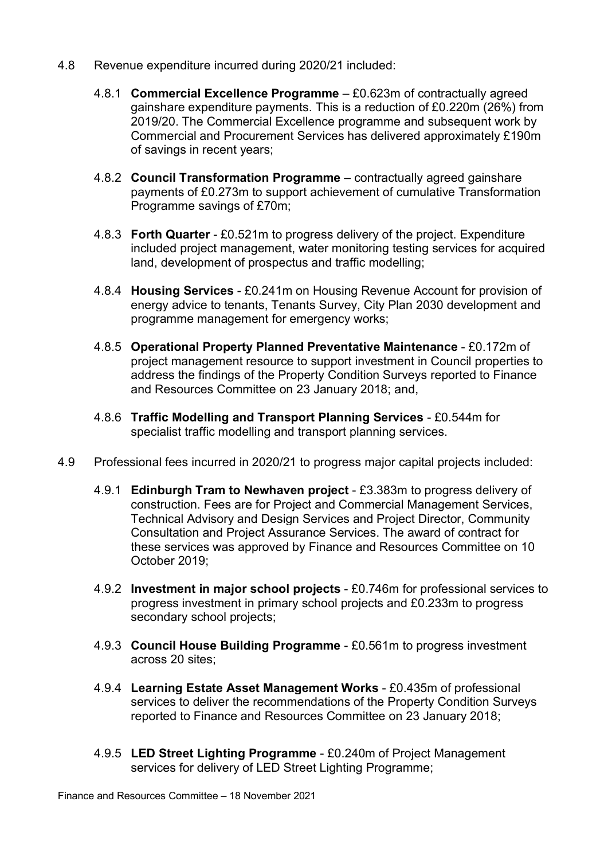- 4.8 Revenue expenditure incurred during 2020/21 included:
	- 4.8.1 **Commercial Excellence Programme** £0.623m of contractually agreed gainshare expenditure payments. This is a reduction of £0.220m (26%) from 2019/20. The Commercial Excellence programme and subsequent work by Commercial and Procurement Services has delivered approximately £190m of savings in recent years;
	- 4.8.2 **Council Transformation Programme** contractually agreed gainshare payments of £0.273m to support achievement of cumulative Transformation Programme savings of £70m;
	- 4.8.3 **Forth Quarter** £0.521m to progress delivery of the project. Expenditure included project management, water monitoring testing services for acquired land, development of prospectus and traffic modelling;
	- 4.8.4 **Housing Services** £0.241m on Housing Revenue Account for provision of energy advice to tenants, Tenants Survey, City Plan 2030 development and programme management for emergency works;
	- 4.8.5 **Operational Property Planned Preventative Maintenance** £0.172m of project management resource to support investment in Council properties to address the findings of the Property Condition Surveys reported to Finance and Resources Committee on 23 January 2018; and,
	- 4.8.6 **Traffic Modelling and Transport Planning Services** £0.544m for specialist traffic modelling and transport planning services.
- 4.9 Professional fees incurred in 2020/21 to progress major capital projects included:
	- 4.9.1 **Edinburgh Tram to Newhaven project** £3.383m to progress delivery of construction. Fees are for Project and Commercial Management Services, Technical Advisory and Design Services and Project Director, Community Consultation and Project Assurance Services. The award of contract for these services was approved by Finance and Resources Committee on 10 October 2019;
	- 4.9.2 **Investment in major school projects** £0.746m for professional services to progress investment in primary school projects and £0.233m to progress secondary school projects;
	- 4.9.3 **Council House Building Programme** £0.561m to progress investment across 20 sites;
	- 4.9.4 **Learning Estate Asset Management Works** £0.435m of professional services to deliver the recommendations of the Property Condition Surveys reported to Finance and Resources Committee on 23 January 2018;
	- 4.9.5 **LED Street Lighting Programme** £0.240m of Project Management services for delivery of LED Street Lighting Programme;

Finance and Resources Committee – 18 November 2021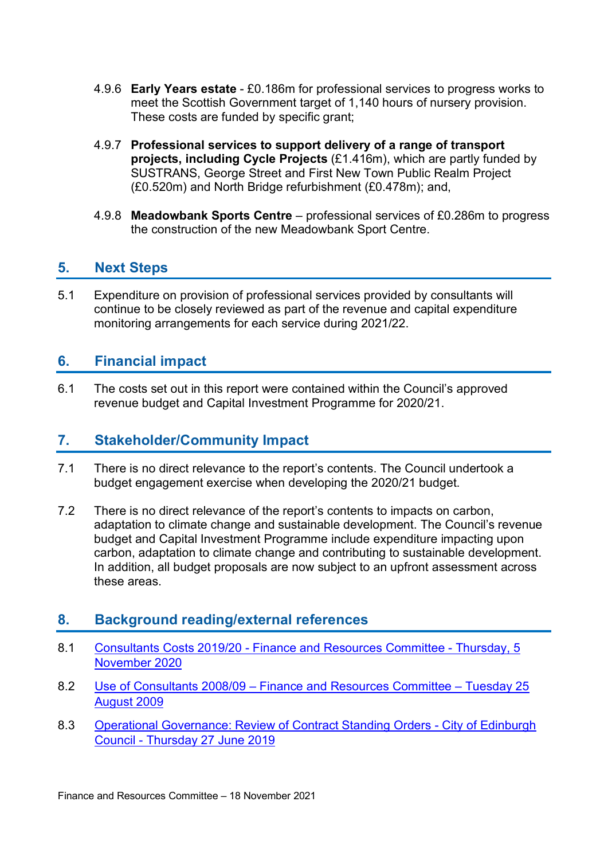- 4.9.6 **Early Years estate** £0.186m for professional services to progress works to meet the Scottish Government target of 1,140 hours of nursery provision. These costs are funded by specific grant;
- 4.9.7 **Professional services to support delivery of a range of transport projects, including Cycle Projects** (£1.416m), which are partly funded by SUSTRANS, George Street and First New Town Public Realm Project (£0.520m) and North Bridge refurbishment (£0.478m); and,
- 4.9.8 **Meadowbank Sports Centre** professional services of £0.286m to progress the construction of the new Meadowbank Sport Centre.

## **5. Next Steps**

5.1 Expenditure on provision of professional services provided by consultants will continue to be closely reviewed as part of the revenue and capital expenditure monitoring arrangements for each service during 2021/22.

## **6. Financial impact**

6.1 The costs set out in this report were contained within the Council's approved revenue budget and Capital Investment Programme for 2020/21.

## **7. Stakeholder/Community Impact**

- 7.1 There is no direct relevance to the report's contents. The Council undertook a budget engagement exercise when developing the 2020/21 budget.
- 7.2 There is no direct relevance of the report's contents to impacts on carbon, adaptation to climate change and sustainable development. The Council's revenue budget and Capital Investment Programme include expenditure impacting upon carbon, adaptation to climate change and contributing to sustainable development. In addition, all budget proposals are now subject to an upfront assessment across these areas.

## **8. Background reading/external references**

- 8.1 Consultants Costs 2019/20 [Finance and Resources Committee -](https://democracy.edinburgh.gov.uk/documents/s28523/7.3%20-%20Consultants%20Costs%202019-20.pdf) Thursday, 5 [November](https://democracy.edinburgh.gov.uk/documents/s28523/7.3%20-%20Consultants%20Costs%202019-20.pdf) 2020
- 8.2 Use of Consultants 2008/09 [Finance and Resources Committee –](https://democracy.edinburgh.gov.uk/CeListDocuments.aspx?CommitteeId=140&MeetingId=2232&DF=25%2f08%2f2009&Ver=2) Tuesday 25 [August 2009](https://democracy.edinburgh.gov.uk/CeListDocuments.aspx?CommitteeId=140&MeetingId=2232&DF=25%2f08%2f2009&Ver=2)
- 8.3 [Operational Governance: Review of Contract Standing Orders -](https://democracy.edinburgh.gov.uk/CeListDocuments.aspx?CommitteeId=150&MeetingId=1027&DF=27%2f06%2f2019&Ver=2) City of Edinburgh Council - [Thursday 27 June 2019](https://democracy.edinburgh.gov.uk/CeListDocuments.aspx?CommitteeId=150&MeetingId=1027&DF=27%2f06%2f2019&Ver=2)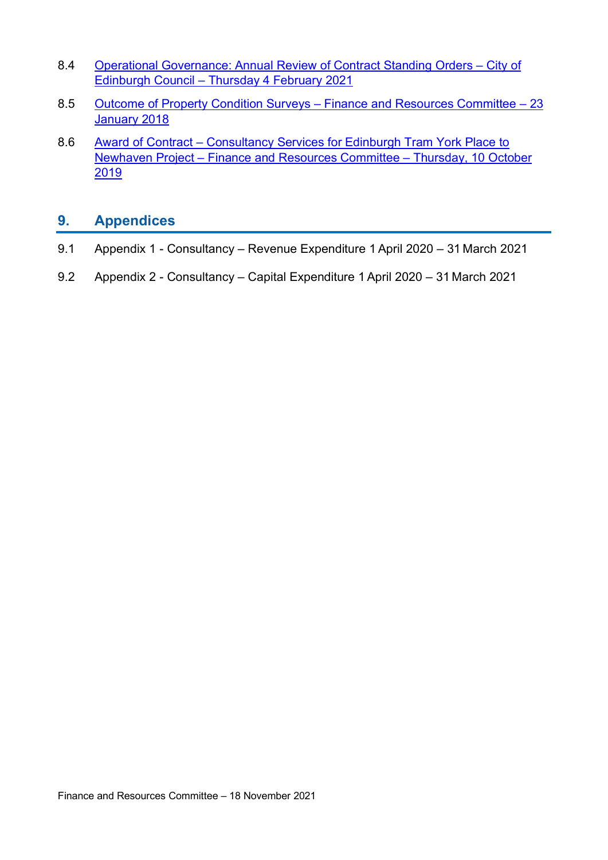- 8.4 [Operational Governance: Annual Review of Contract Standing Orders –](https://democracy.edinburgh.gov.uk/documents/s31059/Item%207.6%20-%20Operational%20Governance%20-%20Annual%20Review%20of%20Contract%20Standing%20Orders.pdf) City of Edinburgh Council – [Thursday 4 February 2021](https://democracy.edinburgh.gov.uk/documents/s31059/Item%207.6%20-%20Operational%20Governance%20-%20Annual%20Review%20of%20Contract%20Standing%20Orders.pdf)
- 8.5 [Outcome of Property Condition Surveys –](https://democracy.edinburgh.gov.uk/CeListDocuments.aspx?CommitteeId=140&MeetingId=2303&DF=23%2f01%2f2018&Ver=2) Finance and Resources Committee 23 [January 2018](https://democracy.edinburgh.gov.uk/CeListDocuments.aspx?CommitteeId=140&MeetingId=2303&DF=23%2f01%2f2018&Ver=2)
- 8.6 Award of Contract Consultancy Services for Edinburgh Tram York Place to Newhaven Project – Finance and Resources Committee – Thursday, 10 October 2019

## **9. Appendices**

- 9.1 Appendix 1 Consultancy Revenue Expenditure 1April 2020 31 March 2021
- 9.2 Appendix 2 Consultancy Capital Expenditure 1April 2020 31 March 2021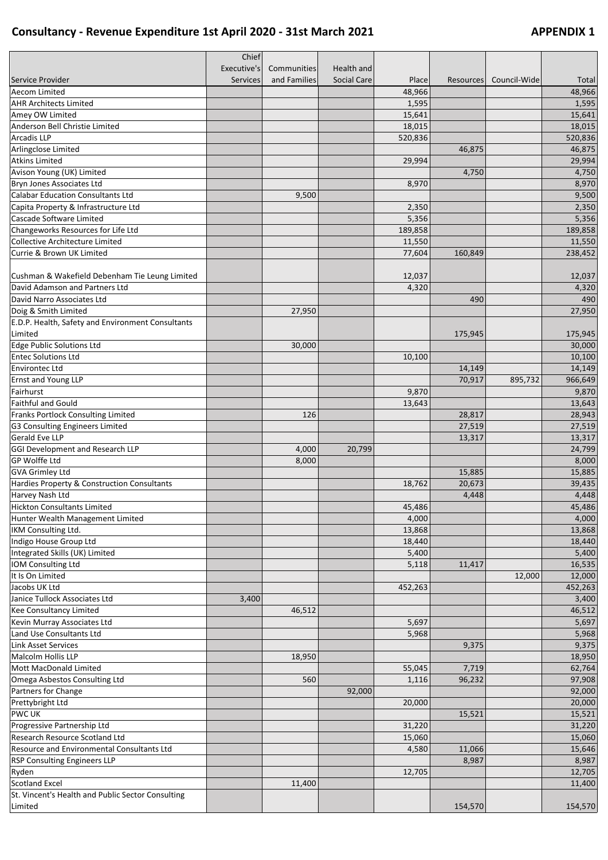## **Consultancy - Revenue Expenditure 1st April 2020 - 31st March 2021 APPENDIX 1**

|                                                         | Chief           |              |                    |                 |                  |              |                 |
|---------------------------------------------------------|-----------------|--------------|--------------------|-----------------|------------------|--------------|-----------------|
|                                                         | Executive's     | Communities  | Health and         |                 |                  |              |                 |
| Service Provider                                        | <b>Services</b> | and Families | <b>Social Care</b> | Place           | <b>Resources</b> | Council-Wide | Total           |
| Aecom Limited                                           |                 |              |                    | 48,966          |                  |              | 48,966          |
| <b>AHR Architects Limited</b>                           |                 |              |                    | 1,595           |                  |              | 1,595           |
| Amey OW Limited                                         |                 |              |                    | 15,641          |                  |              | 15,641          |
| Anderson Bell Christie Limited                          |                 |              |                    | 18,015          |                  |              | 18,015          |
| <b>Arcadis LLP</b>                                      |                 |              |                    | 520,836         |                  |              | 520,836         |
| Arlingclose Limited                                     |                 |              |                    |                 | 46,875           |              | 46,875          |
| <b>Atkins Limited</b>                                   |                 |              |                    | 29,994          |                  |              | 29,994          |
| Avison Young (UK) Limited                               |                 |              |                    |                 | 4,750            |              | 4,750           |
| Bryn Jones Associates Ltd                               |                 |              |                    | 8,970           |                  |              | 8,970           |
| <b>Calabar Education Consultants Ltd</b>                |                 | 9,500        |                    |                 |                  |              | 9,500           |
| Capita Property & Infrastructure Ltd                    |                 |              |                    | 2,350           |                  |              | 2,350           |
| Cascade Software Limited                                |                 |              |                    | 5,356           |                  |              | 5,356           |
| Changeworks Resources for Life Ltd                      |                 |              |                    | 189,858         |                  |              | 189,858         |
| Collective Architecture Limited                         |                 |              |                    | 11,550          |                  |              | 11,550          |
| Currie & Brown UK Limited                               |                 |              |                    | 77,604          | 160,849          |              | 238,452         |
| Cushman & Wakefield Debenham Tie Leung Limited          |                 |              |                    | 12,037          |                  |              | 12,037          |
| David Adamson and Partners Ltd                          |                 |              |                    | 4,320           |                  |              | 4,320           |
| David Narro Associates Ltd                              |                 |              |                    |                 | 490              |              | 490             |
| Doig & Smith Limited                                    |                 | 27,950       |                    |                 |                  |              | 27,950          |
| E.D.P. Health, Safety and Environment Consultants       |                 |              |                    |                 |                  |              |                 |
| Limited                                                 |                 |              |                    |                 | 175,945          |              | 175,945         |
| <b>Edge Public Solutions Ltd</b>                        |                 | 30,000       |                    |                 |                  |              | 30,000          |
| <b>Entec Solutions Ltd</b>                              |                 |              |                    | 10,100          |                  |              | 10,100          |
| <b>Environtec Ltd</b>                                   |                 |              |                    |                 | 14,149           |              | 14,149          |
| Ernst and Young LLP                                     |                 |              |                    |                 | 70,917           | 895,732      | 966,649         |
| Fairhurst                                               |                 |              |                    | 9,870           |                  |              | 9,870           |
| Faithful and Gould                                      |                 |              |                    | 13,643          |                  |              | 13,643          |
| Franks Portlock Consulting Limited                      |                 | 126          |                    |                 | 28,817           |              | 28,943          |
| G3 Consulting Engineers Limited                         |                 |              |                    |                 | 27,519           |              | 27,519          |
| Gerald Eve LLP                                          |                 |              |                    |                 | 13,317           |              | 13,317          |
| <b>GGI Development and Research LLP</b>                 |                 | 4,000        | 20,799             |                 |                  |              | 24,799          |
| <b>GP Wolffe Ltd</b>                                    |                 | 8,000        |                    |                 |                  |              | 8,000           |
| <b>GVA Grimley Ltd</b>                                  |                 |              |                    |                 | 15,885           |              | 15,885          |
| Hardies Property & Construction Consultants             |                 |              |                    | 18,762          | 20,673           |              | 39,435          |
| Harvey Nash Ltd                                         |                 |              |                    |                 | 4,448            |              | 4,448           |
|                                                         |                 |              |                    |                 |                  |              |                 |
| <b>Hickton Consultants Limited</b>                      |                 |              |                    | 45,486<br>4,000 |                  |              | 45,486<br>4,000 |
| Hunter Wealth Management Limited<br>IKM Consulting Ltd. |                 |              |                    |                 |                  |              |                 |
|                                                         |                 |              |                    | 13,868          |                  |              | 13,868          |
| Indigo House Group Ltd                                  |                 |              |                    | 18,440          |                  |              | 18,440          |
| Integrated Skills (UK) Limited                          |                 |              |                    | 5,400           |                  |              | 5,400           |
| IOM Consulting Ltd                                      |                 |              |                    | 5,118           | 11,417           |              | 16,535          |
| It Is On Limited                                        |                 |              |                    |                 |                  | 12,000       | 12,000          |
| Jacobs UK Ltd                                           |                 |              |                    | 452,263         |                  |              | 452,263         |
| Janice Tullock Associates Ltd                           | 3,400           |              |                    |                 |                  |              | 3,400           |
| Kee Consultancy Limited                                 |                 | 46,512       |                    |                 |                  |              | 46,512          |
| Kevin Murray Associates Ltd                             |                 |              |                    | 5,697           |                  |              | 5,697           |
| Land Use Consultants Ltd                                |                 |              |                    | 5,968           |                  |              | 5,968           |
| Link Asset Services                                     |                 |              |                    |                 | 9,375            |              | 9,375           |
| Malcolm Hollis LLP                                      |                 | 18,950       |                    |                 |                  |              | 18,950          |
| Mott MacDonald Limited                                  |                 |              |                    | 55,045          | 7,719            |              | 62,764          |
| Omega Asbestos Consulting Ltd                           |                 | 560          |                    | 1,116           | 96,232           |              | 97,908          |
| Partners for Change                                     |                 |              | 92,000             |                 |                  |              | 92,000          |
| Prettybright Ltd                                        |                 |              |                    | 20,000          |                  |              | 20,000          |
| PWC UK                                                  |                 |              |                    |                 | 15,521           |              | 15,521          |
| Progressive Partnership Ltd                             |                 |              |                    | 31,220          |                  |              | 31,220          |
| Research Resource Scotland Ltd                          |                 |              |                    | 15,060          |                  |              | 15,060          |
| Resource and Environmental Consultants Ltd              |                 |              |                    | 4,580           | 11,066           |              | 15,646          |
| <b>RSP Consulting Engineers LLP</b>                     |                 |              |                    |                 | 8,987            |              | 8,987           |
| Ryden                                                   |                 |              |                    | 12,705          |                  |              | 12,705          |
| <b>Scotland Excel</b>                                   |                 | 11,400       |                    |                 |                  |              | 11,400          |
| St. Vincent's Health and Public Sector Consulting       |                 |              |                    |                 |                  |              |                 |
| Limited                                                 |                 |              |                    |                 | 154,570          |              | 154,570         |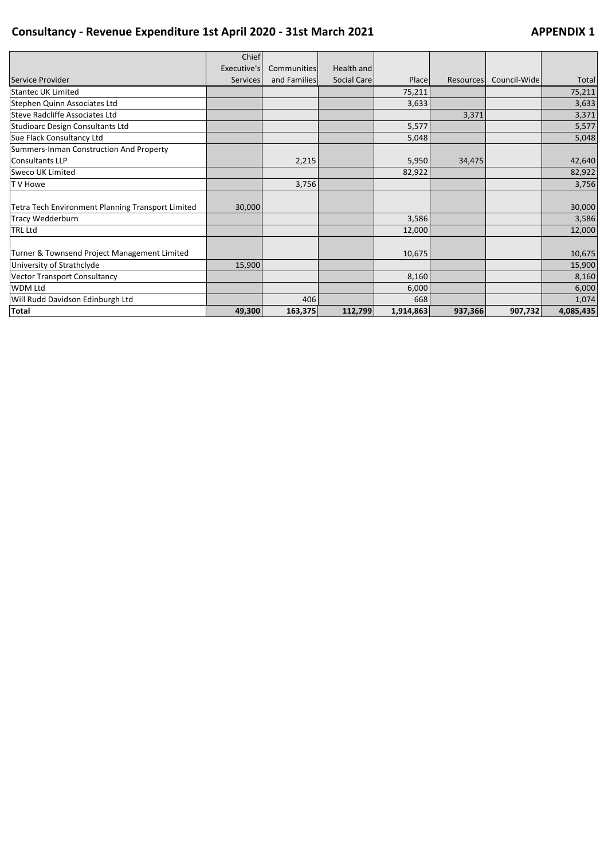## **Consultancy - Revenue Expenditure 1st April 2020 - 31st March 2021 APPENDIX 1**

|                                                   | Chief           |              |             |           |           |              |           |
|---------------------------------------------------|-----------------|--------------|-------------|-----------|-----------|--------------|-----------|
|                                                   | Executive's     | Communities  | Health and  |           |           |              |           |
| Service Provider                                  | <b>Services</b> | and Families | Social Care | Place     | Resources | Council-Wide | Total     |
| Stantec UK Limited                                |                 |              |             | 75,211    |           |              | 75,211    |
| Stephen Quinn Associates Ltd                      |                 |              |             | 3,633     |           |              | 3,633     |
| Steve Radcliffe Associates Ltd                    |                 |              |             |           | 3,371     |              | 3,371     |
| Studioarc Design Consultants Ltd                  |                 |              |             | 5,577     |           |              | 5,577     |
| Sue Flack Consultancy Ltd                         |                 |              |             | 5,048     |           |              | 5,048     |
| Summers-Inman Construction And Property           |                 |              |             |           |           |              |           |
| Consultants LLP                                   |                 | 2,215        |             | 5,950     | 34,475    |              | 42,640    |
| Sweco UK Limited                                  |                 |              |             | 82,922    |           |              | 82,922    |
| T V Howe                                          |                 | 3,756        |             |           |           |              | 3,756     |
|                                                   |                 |              |             |           |           |              |           |
| Tetra Tech Environment Planning Transport Limited | 30,000          |              |             |           |           |              | 30,000    |
| Tracy Wedderburn                                  |                 |              |             | 3,586     |           |              | 3,586     |
| <b>TRL Ltd</b>                                    |                 |              |             | 12,000    |           |              | 12,000    |
|                                                   |                 |              |             |           |           |              |           |
| Turner & Townsend Project Management Limited      |                 |              |             | 10,675    |           |              | 10,675    |
| University of Strathclyde                         | 15,900          |              |             |           |           |              | 15,900    |
| <b>Vector Transport Consultancy</b>               |                 |              |             | 8,160     |           |              | 8,160     |
| <b>WDM Ltd</b>                                    |                 |              |             | 6,000     |           |              | 6,000     |
| Will Rudd Davidson Edinburgh Ltd                  |                 | 406          |             | 668       |           |              | 1,074     |
| <b>Total</b>                                      | 49,300          | 163,375      | 112,799     | 1,914,863 | 937,366   | 907,732      | 4,085,435 |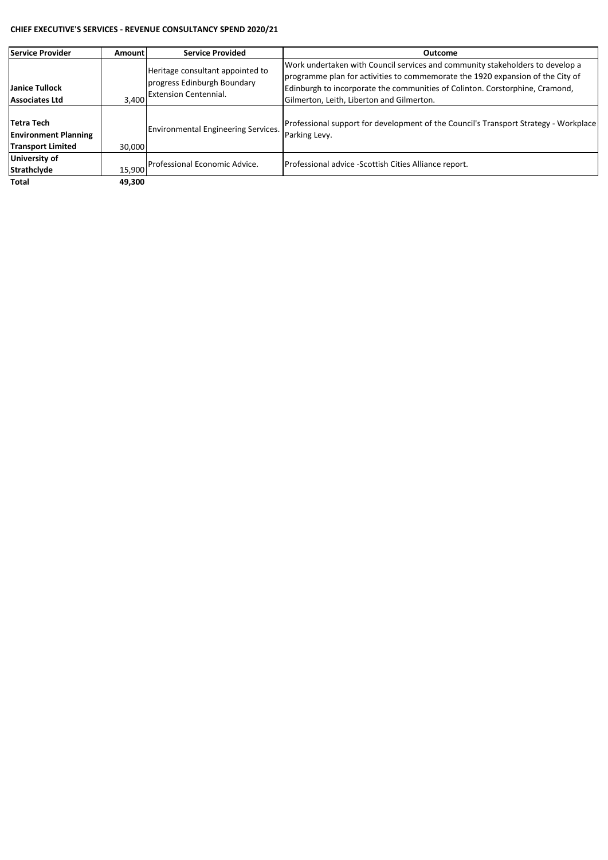#### **CHIEF EXECUTIVE'S SERVICES - REVENUE CONSULTANCY SPEND 2020/21**

| <b>Service Provider</b>                                               | Amountl | <b>Service Provided</b>                                                                         | Outcome                                                                                                                                                                                                                                                                                      |
|-----------------------------------------------------------------------|---------|-------------------------------------------------------------------------------------------------|----------------------------------------------------------------------------------------------------------------------------------------------------------------------------------------------------------------------------------------------------------------------------------------------|
| Janice Tullock<br>Associates Ltd                                      | 3.400   | Heritage consultant appointed to<br>progress Edinburgh Boundary<br><b>Extension Centennial.</b> | Work undertaken with Council services and community stakeholders to develop a<br>programme plan for activities to commemorate the 1920 expansion of the City of<br>Edinburgh to incorporate the communities of Colinton. Corstorphine, Cramond,<br>Gilmerton, Leith, Liberton and Gilmerton. |
| Tetra Tech<br><b>Environment Planning</b><br><b>Transport Limited</b> | 30.000  | <b>Environmental Engineering Services.</b>                                                      | Professional support for development of the Council's Transport Strategy - Workplace<br>Parking Levy.                                                                                                                                                                                        |
| University of<br><b>Strathclyde</b>                                   | 15.900  | Professional Economic Advice.                                                                   | Professional advice -Scottish Cities Alliance report.                                                                                                                                                                                                                                        |
| Total                                                                 | 49.300  |                                                                                                 |                                                                                                                                                                                                                                                                                              |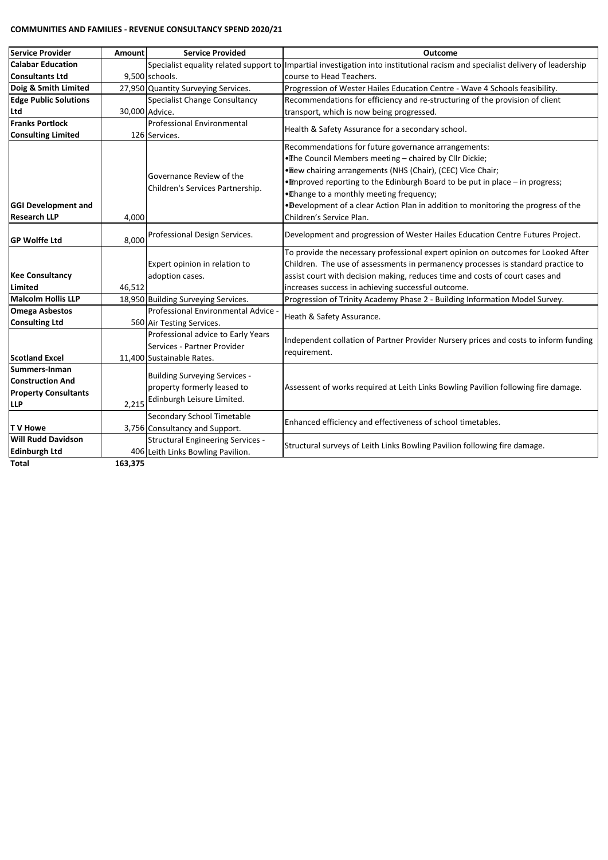#### **COMMUNITIES AND FAMILIES - REVENUE CONSULTANCY SPEND 2020/21**

| <b>Service Provider</b>      | Amount  | <b>Service Provided</b>                  | <b>Outcome</b>                                                                                                                 |
|------------------------------|---------|------------------------------------------|--------------------------------------------------------------------------------------------------------------------------------|
| <b>Calabar Education</b>     |         |                                          | Specialist equality related support to Impartial investigation into institutional racism and specialist delivery of leadership |
| <b>Consultants Ltd</b>       |         | 9,500 schools.                           | course to Head Teachers.                                                                                                       |
| Doig & Smith Limited         |         | 27,950 Quantity Surveying Services.      | Progression of Wester Hailes Education Centre - Wave 4 Schools feasibility.                                                    |
| <b>Edge Public Solutions</b> |         | <b>Specialist Change Consultancy</b>     | Recommendations for efficiency and re-structuring of the provision of client                                                   |
| Ltd                          |         | 30,000 Advice.                           | transport, which is now being progressed.                                                                                      |
| <b>Franks Portlock</b>       |         | <b>Professional Environmental</b>        | Health & Safety Assurance for a secondary school.                                                                              |
| <b>Consulting Limited</b>    |         | 126 Services.                            |                                                                                                                                |
|                              |         |                                          | Recommendations for future governance arrangements:                                                                            |
|                              |         |                                          | . The Council Members meeting - chaired by Cllr Dickie;                                                                        |
|                              |         |                                          | . New chairing arrangements (NHS (Chair), (CEC) Vice Chair;                                                                    |
|                              |         | Governance Review of the                 | . Improved reporting to the Edinburgh Board to be put in place - in progress;                                                  |
|                              |         | Children's Services Partnership.         | . Thange to a monthly meeting frequency;                                                                                       |
| <b>GGI Development and</b>   |         |                                          | .Development of a clear Action Plan in addition to monitoring the progress of the                                              |
| <b>Research LLP</b>          | 4,000   |                                          | Children's Service Plan.                                                                                                       |
|                              |         | Professional Design Services.            | Development and progression of Wester Hailes Education Centre Futures Project.                                                 |
| <b>GP Wolffe Ltd</b>         | 8,000   |                                          |                                                                                                                                |
|                              |         |                                          | To provide the necessary professional expert opinion on outcomes for Looked After                                              |
|                              |         | Expert opinion in relation to            | Children. The use of assessments in permanency processes is standard practice to                                               |
| <b>Kee Consultancy</b>       |         | adoption cases.                          | assist court with decision making, reduces time and costs of court cases and                                                   |
| <b>Limited</b>               | 46,512  |                                          | increases success in achieving successful outcome.                                                                             |
| <b>Malcolm Hollis LLP</b>    |         | 18,950 Building Surveying Services.      | Progression of Trinity Academy Phase 2 - Building Information Model Survey.                                                    |
| <b>Omega Asbestos</b>        |         | Professional Environmental Advice        | Heath & Safety Assurance.                                                                                                      |
| <b>Consulting Ltd</b>        |         | 560 Air Testing Services.                |                                                                                                                                |
|                              |         | Professional advice to Early Years       | Independent collation of Partner Provider Nursery prices and costs to inform funding                                           |
|                              |         | Services - Partner Provider              | requirement.                                                                                                                   |
| <b>Scotland Excel</b>        |         | 11,400 Sustainable Rates.                |                                                                                                                                |
| Summers-Inman                |         | <b>Building Surveying Services -</b>     |                                                                                                                                |
| <b>Construction And</b>      |         | property formerly leased to              | Assessent of works required at Leith Links Bowling Pavilion following fire damage.                                             |
| <b>Property Consultants</b>  |         | Edinburgh Leisure Limited.               |                                                                                                                                |
| <b>LLP</b>                   | 2,215   |                                          |                                                                                                                                |
|                              |         | Secondary School Timetable               | Enhanced efficiency and effectiveness of school timetables.                                                                    |
| <b>TV Howe</b>               |         | 3,756 Consultancy and Support.           |                                                                                                                                |
| <b>Will Rudd Davidson</b>    |         | <b>Structural Engineering Services -</b> | Structural surveys of Leith Links Bowling Pavilion following fire damage.                                                      |
| <b>Edinburgh Ltd</b>         |         | 406 Leith Links Bowling Pavilion.        |                                                                                                                                |
| Total                        | 163,375 |                                          |                                                                                                                                |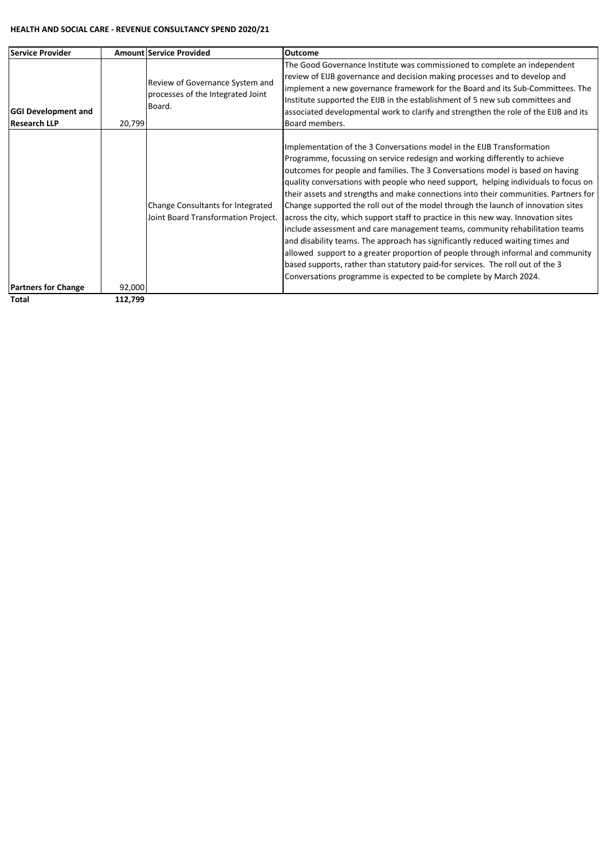#### **HEALTH AND SOCIAL CARE - REVENUE CONSULTANCY SPEND 2020/21**

| <b>Service Provider</b>                           |         | <b>Amount Service Provided</b>                                                 | Outcome                                                                                                                                                                                                                                                                                                                                                                                                                                                                                                                                                                                                                                                                                                                                                                                                                                                                                                                                                                                                        |
|---------------------------------------------------|---------|--------------------------------------------------------------------------------|----------------------------------------------------------------------------------------------------------------------------------------------------------------------------------------------------------------------------------------------------------------------------------------------------------------------------------------------------------------------------------------------------------------------------------------------------------------------------------------------------------------------------------------------------------------------------------------------------------------------------------------------------------------------------------------------------------------------------------------------------------------------------------------------------------------------------------------------------------------------------------------------------------------------------------------------------------------------------------------------------------------|
| <b>GGI Development and</b><br><b>Research LLP</b> | 20,799  | Review of Governance System and<br>processes of the Integrated Joint<br>Board. | The Good Governance Institute was commissioned to complete an independent<br>review of EIJB governance and decision making processes and to develop and<br>implement a new governance framework for the Board and its Sub-Committees. The<br>Institute supported the EIJB in the establishment of 5 new sub committees and<br>associated developmental work to clarify and strengthen the role of the EIJB and its<br>Board members.                                                                                                                                                                                                                                                                                                                                                                                                                                                                                                                                                                           |
| <b>Partners for Change</b>                        | 92,000  | Change Consultants for Integrated<br>Joint Board Transformation Project.       | Implementation of the 3 Conversations model in the EIJB Transformation<br>Programme, focussing on service redesign and working differently to achieve<br>outcomes for people and families. The 3 Conversations model is based on having<br>quality conversations with people who need support, helping individuals to focus on<br>their assets and strengths and make connections into their communities. Partners for<br>Change supported the roll out of the model through the launch of innovation sites<br>across the city, which support staff to practice in this new way. Innovation sites<br>include assessment and care management teams, community rehabilitation teams<br>and disability teams. The approach has significantly reduced waiting times and<br>allowed support to a greater proportion of people through informal and community<br>based supports, rather than statutory paid-for services. The roll out of the 3<br>Conversations programme is expected to be complete by March 2024. |
| Total                                             | 112,799 |                                                                                |                                                                                                                                                                                                                                                                                                                                                                                                                                                                                                                                                                                                                                                                                                                                                                                                                                                                                                                                                                                                                |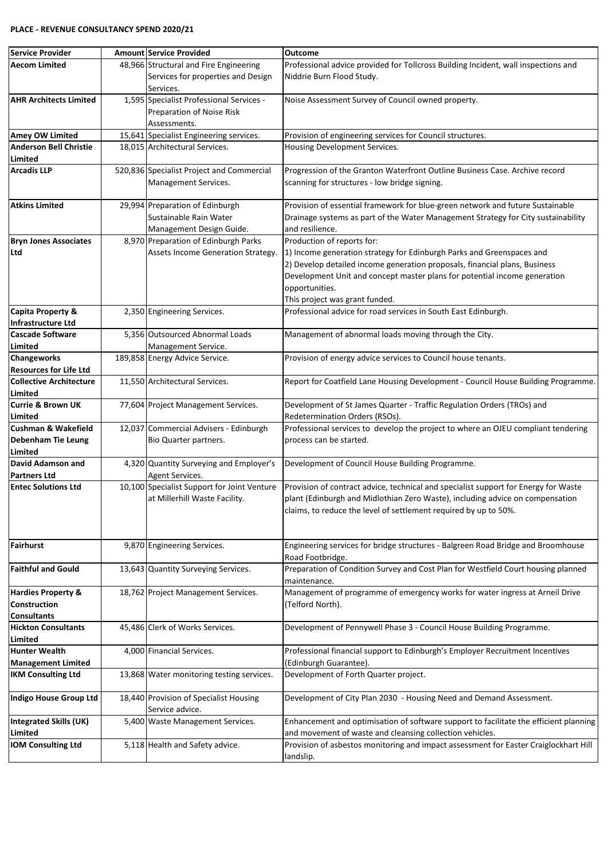| <b>Service Provider</b>                  | Amount Service Provided                                                                   | Outcome                                                                                                                                                                                                                                                                              |
|------------------------------------------|-------------------------------------------------------------------------------------------|--------------------------------------------------------------------------------------------------------------------------------------------------------------------------------------------------------------------------------------------------------------------------------------|
| <b>Aecom Limited</b>                     | 48,966 Structural and Fire Engineering<br>Services for properties and Design<br>Services. | Professional advice provided for Tollcross Building Incident, wall inspections and<br>Niddrie Burn Flood Study.                                                                                                                                                                      |
| <b>AHR Architects Limited</b>            | 1,595 Specialist Professional Services -                                                  | Noise Assessment Survey of Council owned property.                                                                                                                                                                                                                                   |
|                                          | Preparation of Noise Risk<br>Assessments.                                                 |                                                                                                                                                                                                                                                                                      |
| <b>Amey OW Limited</b>                   | 15,641 Specialist Engineering services.                                                   | Provision of engineering services for Council structures.                                                                                                                                                                                                                            |
| <b>Anderson Bell Christie</b>            | 18,015 Architectural Services.                                                            | Housing Development Services.                                                                                                                                                                                                                                                        |
| Limited                                  |                                                                                           |                                                                                                                                                                                                                                                                                      |
| <b>Arcadis LLP</b>                       | 520,836 Specialist Project and Commercial<br>Management Services.                         | Progression of the Granton Waterfront Outline Business Case. Archive record<br>scanning for structures - low bridge signing.                                                                                                                                                         |
| <b>Atkins Limited</b>                    | 29,994 Preparation of Edinburgh<br>Sustainable Rain Water<br>Management Design Guide.     | Provision of essential framework for blue-green network and future Sustainable<br>Drainage systems as part of the Water Management Strategy for City sustainability<br>and resilience.                                                                                               |
| <b>Bryn Jones Associates</b>             | 8,970 Preparation of Edinburgh Parks                                                      | Production of reports for:                                                                                                                                                                                                                                                           |
| Ltd                                      | Assets Income Generation Strategy.                                                        | 1) Income generation strategy for Edinburgh Parks and Greenspaces and<br>2) Develop detailed income generation proposals, financial plans, Business<br>Development Unit and concept master plans for potential income generation<br>opportunities.<br>This project was grant funded. |
| Capita Property &                        | 2,350 Engineering Services.                                                               | Professional advice for road services in South East Edinburgh.                                                                                                                                                                                                                       |
| <b>Infrastructure Ltd</b>                |                                                                                           |                                                                                                                                                                                                                                                                                      |
| <b>Cascade Software</b>                  | 5.356 Outsourced Abnormal Loads                                                           | Management of abnormal loads moving through the City.                                                                                                                                                                                                                                |
| Limited                                  | Management Service.                                                                       |                                                                                                                                                                                                                                                                                      |
| <b>Changeworks</b>                       | 189,858 Energy Advice Service.                                                            | Provision of energy advice services to Council house tenants.                                                                                                                                                                                                                        |
| <b>Resources for Life Ltd</b>            |                                                                                           |                                                                                                                                                                                                                                                                                      |
| <b>Collective Architecture</b>           | 11,550 Architectural Services.                                                            | Report for Coatfield Lane Housing Development - Council House Building Programme.                                                                                                                                                                                                    |
| Limited                                  |                                                                                           |                                                                                                                                                                                                                                                                                      |
| <b>Currie &amp; Brown UK</b><br>Limited  | 77,604 Project Management Services.                                                       | Development of St James Quarter - Traffic Regulation Orders (TROs) and<br>Redetermination Orders (RSOs).                                                                                                                                                                             |
| <b>Cushman &amp; Wakefield</b>           | 12,037 Commercial Advisers - Edinburgh                                                    | Professional services to develop the project to where an OJEU compliant tendering                                                                                                                                                                                                    |
| <b>Debenham Tie Leung</b>                | Bio Quarter partners.                                                                     | process can be started.                                                                                                                                                                                                                                                              |
| Limited                                  |                                                                                           |                                                                                                                                                                                                                                                                                      |
| David Adamson and                        | 4,320 Quantity Surveying and Employer's                                                   | Development of Council House Building Programme.                                                                                                                                                                                                                                     |
| <b>Partners Ltd</b>                      | Agent Services.                                                                           |                                                                                                                                                                                                                                                                                      |
| <b>Entec Solutions Ltd</b>               | 10,100 Specialist Support for Joint Venture<br>at Millerhill Waste Facility.              | Provision of contract advice, technical and specialist support for Energy for Waste<br>plant (Edinburgh and Midlothian Zero Waste), including advice on compensation<br>claims, to reduce the level of settlement required by up to 50%.                                             |
| Fairhurst                                | 9,870 Engineering Services.                                                               | Engineering services for bridge structures - Balgreen Road Bridge and Broomhouse<br>Road Footbridge.                                                                                                                                                                                 |
| <b>Faithful and Gould</b>                | 13,643 Quantity Surveying Services.                                                       | Preparation of Condition Survey and Cost Plan for Westfield Court housing planned<br>maintenance.                                                                                                                                                                                    |
| <b>Hardies Property &amp;</b>            | 18,762 Project Management Services.                                                       | Management of programme of emergency works for water ingress at Arneil Drive                                                                                                                                                                                                         |
| <b>Construction</b>                      |                                                                                           | (Telford North).                                                                                                                                                                                                                                                                     |
| <b>Consultants</b>                       |                                                                                           |                                                                                                                                                                                                                                                                                      |
| <b>Hickton Consultants</b>               | 45,486 Clerk of Works Services.                                                           | Development of Pennywell Phase 3 - Council House Building Programme.                                                                                                                                                                                                                 |
| Limited                                  |                                                                                           |                                                                                                                                                                                                                                                                                      |
| <b>Hunter Wealth</b>                     | 4,000 Financial Services.                                                                 | Professional financial support to Edinburgh's Employer Recruitment Incentives                                                                                                                                                                                                        |
| <b>Management Limited</b>                |                                                                                           | (Edinburgh Guarantee).                                                                                                                                                                                                                                                               |
| <b>IKM Consulting Ltd</b>                | 13,868 Water monitoring testing services.                                                 | Development of Forth Quarter project.                                                                                                                                                                                                                                                |
| Indigo House Group Ltd                   | 18,440 Provision of Specialist Housing<br>Service advice.                                 | Development of City Plan 2030 - Housing Need and Demand Assessment.                                                                                                                                                                                                                  |
| <b>Integrated Skills (UK)</b><br>Limited | 5,400 Waste Management Services.                                                          | Enhancement and optimisation of software support to facilitate the efficient planning<br>and movement of waste and cleansing collection vehicles.                                                                                                                                    |
| <b>IOM Consulting Ltd</b>                | 5,118 Health and Safety advice.                                                           | Provision of asbestos monitoring and impact assessment for Easter Craiglockhart Hill<br>landslip.                                                                                                                                                                                    |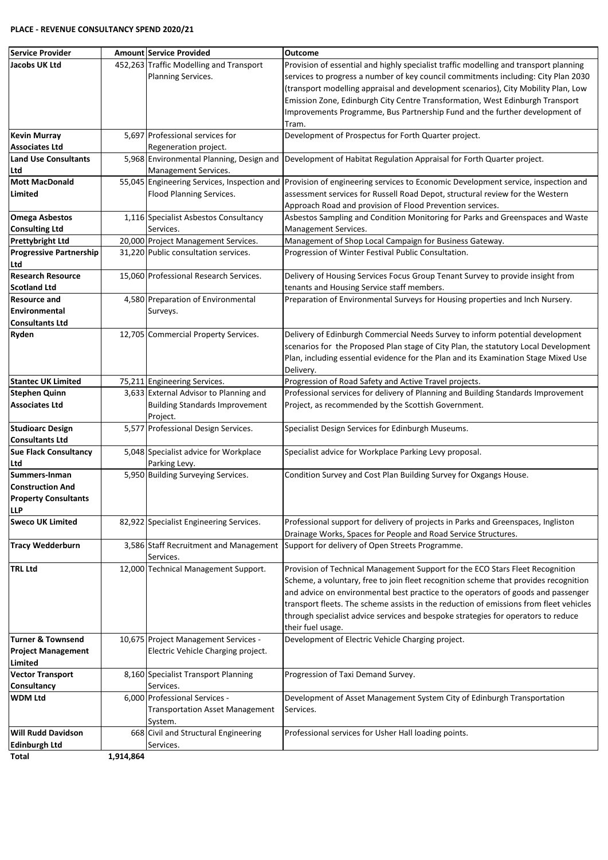#### **PLACE - REVENUE CONSULTANCY SPEND 2020/21**

| Service Provider               |           | <b>Amount Service Provided</b>                      | <b>Outcome</b>                                                                         |
|--------------------------------|-----------|-----------------------------------------------------|----------------------------------------------------------------------------------------|
| Jacobs UK Ltd                  |           | 452,263 Traffic Modelling and Transport             | Provision of essential and highly specialist traffic modelling and transport planning  |
|                                |           | Planning Services.                                  | services to progress a number of key council commitments including: City Plan 2030     |
|                                |           |                                                     | (transport modelling appraisal and development scenarios), City Mobility Plan, Low     |
|                                |           |                                                     | Emission Zone, Edinburgh City Centre Transformation, West Edinburgh Transport          |
|                                |           |                                                     | Improvements Programme, Bus Partnership Fund and the further development of            |
|                                |           |                                                     | Tram.                                                                                  |
| <b>Kevin Murray</b>            |           | 5,697 Professional services for                     | Development of Prospectus for Forth Quarter project.                                   |
| <b>Associates Ltd</b>          |           | Regeneration project.                               |                                                                                        |
| <b>Land Use Consultants</b>    |           | 5,968 Environmental Planning, Design and            | Development of Habitat Regulation Appraisal for Forth Quarter project.                 |
| Ltd                            |           | Management Services.                                |                                                                                        |
| <b>Mott MacDonald</b>          |           | 55,045 Engineering Services, Inspection and         | Provision of engineering services to Economic Development service, inspection and      |
| Limited                        |           | Flood Planning Services.                            | assessment services for Russell Road Depot, structural review for the Western          |
|                                |           |                                                     | Approach Road and provision of Flood Prevention services.                              |
|                                |           |                                                     |                                                                                        |
| <b>Omega Asbestos</b>          |           | 1,116 Specialist Asbestos Consultancy               | Asbestos Sampling and Condition Monitoring for Parks and Greenspaces and Waste         |
| <b>Consulting Ltd</b>          |           | Services.                                           | Management Services.                                                                   |
| <b>Prettybright Ltd</b>        |           | 20,000 Project Management Services.                 | Management of Shop Local Campaign for Business Gateway.                                |
| <b>Progressive Partnership</b> |           | 31,220 Public consultation services.                | Progression of Winter Festival Public Consultation.                                    |
| Ltd                            |           |                                                     |                                                                                        |
| <b>Research Resource</b>       |           | 15,060 Professional Research Services.              | Delivery of Housing Services Focus Group Tenant Survey to provide insight from         |
| <b>Scotland Ltd</b>            |           |                                                     | tenants and Housing Service staff members.                                             |
| <b>Resource and</b>            |           | 4,580 Preparation of Environmental                  | Preparation of Environmental Surveys for Housing properties and Inch Nursery.          |
| Environmental                  |           | Surveys.                                            |                                                                                        |
| <b>Consultants Ltd</b>         |           |                                                     |                                                                                        |
| Ryden                          |           | 12,705 Commercial Property Services.                | Delivery of Edinburgh Commercial Needs Survey to inform potential development          |
|                                |           |                                                     | scenarios for the Proposed Plan stage of City Plan, the statutory Local Development    |
|                                |           |                                                     | Plan, including essential evidence for the Plan and its Examination Stage Mixed Use    |
|                                |           |                                                     | Delivery.                                                                              |
| <b>Stantec UK Limited</b>      |           | 75,211 Engineering Services.                        | Progression of Road Safety and Active Travel projects.                                 |
| <b>Stephen Quinn</b>           |           | 3,633 External Advisor to Planning and              | Professional services for delivery of Planning and Building Standards Improvement      |
| <b>Associates Ltd</b>          |           | <b>Building Standards Improvement</b>               | Project, as recommended by the Scottish Government.                                    |
|                                |           | Project.                                            |                                                                                        |
| <b>Studioarc Design</b>        |           | 5,577 Professional Design Services.                 | Specialist Design Services for Edinburgh Museums.                                      |
| <b>Consultants Ltd</b>         |           |                                                     |                                                                                        |
| Sue Flack Consultancy          |           | 5,048 Specialist advice for Workplace               | Specialist advice for Workplace Parking Levy proposal.                                 |
| Ltd                            |           | Parking Levy.                                       |                                                                                        |
| Summers-Inman                  |           | 5,950 Building Surveying Services.                  | Condition Survey and Cost Plan Building Survey for Oxgangs House.                      |
| <b>Construction And</b>        |           |                                                     |                                                                                        |
|                                |           |                                                     |                                                                                        |
| <b>Property Consultants</b>    |           |                                                     |                                                                                        |
| <b>LLP</b>                     |           |                                                     |                                                                                        |
| <b>Sweco UK Limited</b>        |           | 82,922 Specialist Engineering Services.             | Professional support for delivery of projects in Parks and Greenspaces, Ingliston      |
|                                |           |                                                     | Drainage Works, Spaces for People and Road Service Structures.                         |
| <b>Tracy Wedderburn</b>        |           | 3,586 Staff Recruitment and Management<br>Services. | Support for delivery of Open Streets Programme.                                        |
| <b>TRL Ltd</b>                 |           | 12,000 Technical Management Support.                | Provision of Technical Management Support for the ECO Stars Fleet Recognition          |
|                                |           |                                                     | Scheme, a voluntary, free to join fleet recognition scheme that provides recognition   |
|                                |           |                                                     | and advice on environmental best practice to the operators of goods and passenger      |
|                                |           |                                                     | transport fleets. The scheme assists in the reduction of emissions from fleet vehicles |
|                                |           |                                                     | through specialist advice services and bespoke strategies for operators to reduce      |
|                                |           |                                                     | their fuel usage.                                                                      |
| Turner & Townsend              |           | 10,675 Project Management Services -                | Development of Electric Vehicle Charging project.                                      |
| <b>Project Management</b>      |           | Electric Vehicle Charging project.                  |                                                                                        |
|                                |           |                                                     |                                                                                        |
| Limited                        |           |                                                     |                                                                                        |
| <b>Vector Transport</b>        |           | 8,160 Specialist Transport Planning                 | Progression of Taxi Demand Survey.                                                     |
| Consultancy                    |           | Services.                                           |                                                                                        |
| <b>WDM Ltd</b>                 |           | 6,000 Professional Services -                       | Development of Asset Management System City of Edinburgh Transportation                |
|                                |           | <b>Transportation Asset Management</b>              | Services.                                                                              |
|                                |           | System.                                             |                                                                                        |
| <b>Will Rudd Davidson</b>      |           | 668 Civil and Structural Engineering                | Professional services for Usher Hall loading points.                                   |
| Edinburgh Ltd                  |           | Services.                                           |                                                                                        |
| Total                          | 1,914,864 |                                                     |                                                                                        |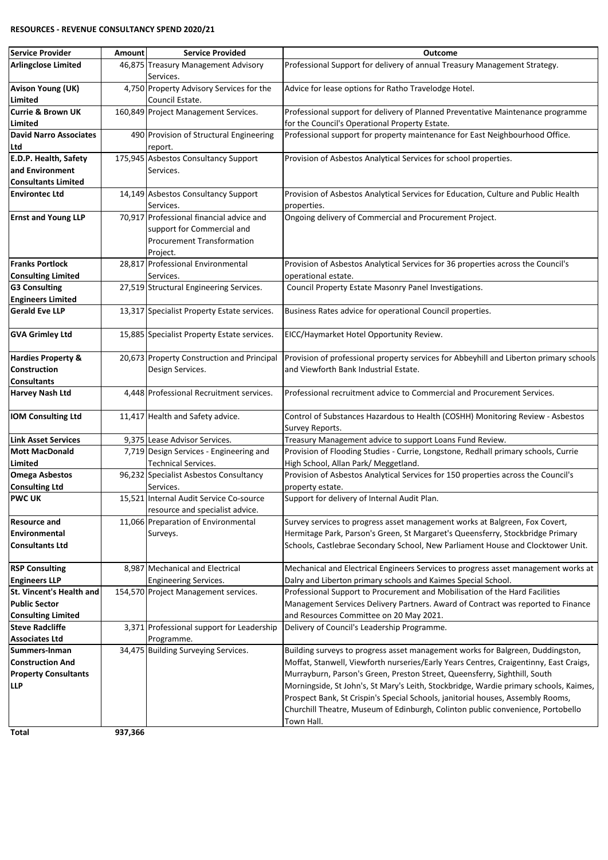#### **RESOURCES - REVENUE CONSULTANCY SPEND 2020/21**

| <b>Service Provider</b>                             | Amount  | <b>Service Provided</b>                                                  | <b>Outcome</b>                                                                                                            |
|-----------------------------------------------------|---------|--------------------------------------------------------------------------|---------------------------------------------------------------------------------------------------------------------------|
| <b>Arlingclose Limited</b>                          |         | 46,875 Treasury Management Advisory                                      | Professional Support for delivery of annual Treasury Management Strategy.                                                 |
|                                                     |         | Services.                                                                |                                                                                                                           |
| <b>Avison Young (UK)</b>                            |         | 4,750 Property Advisory Services for the                                 | Advice for lease options for Ratho Travelodge Hotel.                                                                      |
| Limited                                             |         | Council Estate.                                                          |                                                                                                                           |
| <b>Currie &amp; Brown UK</b>                        |         | 160,849 Project Management Services.                                     | Professional support for delivery of Planned Preventative Maintenance programme                                           |
| Limited                                             |         |                                                                          | for the Council's Operational Property Estate.                                                                            |
| <b>David Narro Associates</b>                       |         | 490 Provision of Structural Engineering                                  | Professional support for property maintenance for East Neighbourhood Office.                                              |
| Ltd                                                 |         | report.                                                                  |                                                                                                                           |
| E.D.P. Health, Safety                               |         | 175,945 Asbestos Consultancy Support                                     | Provision of Asbestos Analytical Services for school properties.                                                          |
| and Environment                                     |         | Services.                                                                |                                                                                                                           |
| <b>Consultants Limited</b>                          |         |                                                                          |                                                                                                                           |
| <b>Environtec Ltd</b>                               |         | 14,149 Asbestos Consultancy Support                                      | Provision of Asbestos Analytical Services for Education, Culture and Public Health                                        |
|                                                     |         | Services.                                                                | properties.                                                                                                               |
| <b>Ernst and Young LLP</b>                          |         | 70,917 Professional financial advice and                                 | Ongoing delivery of Commercial and Procurement Project.                                                                   |
|                                                     |         | support for Commercial and                                               |                                                                                                                           |
|                                                     |         | <b>Procurement Transformation</b>                                        |                                                                                                                           |
|                                                     |         | Project.                                                                 |                                                                                                                           |
| <b>Franks Portlock</b>                              |         | 28,817 Professional Environmental                                        | Provision of Asbestos Analytical Services for 36 properties across the Council's                                          |
| <b>Consulting Limited</b>                           |         | Services.                                                                | operational estate.                                                                                                       |
| <b>G3 Consulting</b>                                |         | 27,519 Structural Engineering Services.                                  | Council Property Estate Masonry Panel Investigations.                                                                     |
| <b>Engineers Limited</b>                            |         |                                                                          |                                                                                                                           |
| <b>Gerald Eve LLP</b>                               |         | 13,317 Specialist Property Estate services.                              | Business Rates advice for operational Council properties.                                                                 |
|                                                     |         |                                                                          |                                                                                                                           |
| <b>GVA Grimley Ltd</b>                              |         | 15,885 Specialist Property Estate services.                              | EICC/Haymarket Hotel Opportunity Review.                                                                                  |
|                                                     |         |                                                                          |                                                                                                                           |
| <b>Hardies Property &amp;</b>                       |         | 20,673 Property Construction and Principal                               | Provision of professional property services for Abbeyhill and Liberton primary schools                                    |
| <b>Construction</b>                                 |         | Design Services.                                                         | and Viewforth Bank Industrial Estate.                                                                                     |
| <b>Consultants</b>                                  |         |                                                                          |                                                                                                                           |
| <b>Harvey Nash Ltd</b>                              |         | 4,448 Professional Recruitment services.                                 | Professional recruitment advice to Commercial and Procurement Services.                                                   |
|                                                     |         |                                                                          |                                                                                                                           |
| <b>IOM Consulting Ltd</b>                           |         | 11,417 Health and Safety advice.                                         | Control of Substances Hazardous to Health (COSHH) Monitoring Review - Asbestos                                            |
|                                                     |         |                                                                          | Survey Reports.                                                                                                           |
| <b>Link Asset Services</b><br><b>Mott MacDonald</b> |         | 9,375 Lease Advisor Services.<br>7,719 Design Services - Engineering and | Treasury Management advice to support Loans Fund Review.                                                                  |
|                                                     |         |                                                                          | Provision of Flooding Studies - Currie, Longstone, Redhall primary schools, Currie                                        |
| Limited                                             |         | <b>Technical Services.</b>                                               | High School, Allan Park/ Meggetland.<br>Provision of Asbestos Analytical Services for 150 properties across the Council's |
| <b>Omega Asbestos</b>                               |         | 96,232 Specialist Asbestos Consultancy                                   |                                                                                                                           |
| <b>Consulting Ltd</b><br><b>PWC UK</b>              |         | Services.<br>15,521 Internal Audit Service Co-source                     | property estate.                                                                                                          |
|                                                     |         | resource and specialist advice.                                          | Support for delivery of Internal Audit Plan.                                                                              |
| <b>Resource and</b>                                 |         | 11,066 Preparation of Environmental                                      | Survey services to progress asset management works at Balgreen, Fox Covert,                                               |
| Environmental                                       |         | Surveys.                                                                 | Hermitage Park, Parson's Green, St Margaret's Queensferry, Stockbridge Primary                                            |
| <b>Consultants Ltd</b>                              |         |                                                                          | Schools, Castlebrae Secondary School, New Parliament House and Clocktower Unit.                                           |
|                                                     |         |                                                                          |                                                                                                                           |
| <b>RSP Consulting</b>                               |         | 8,987 Mechanical and Electrical                                          | Mechanical and Electrical Engineers Services to progress asset management works at                                        |
| <b>Engineers LLP</b>                                |         | <b>Engineering Services.</b>                                             | Dalry and Liberton primary schools and Kaimes Special School.                                                             |
| St. Vincent's Health and                            |         | 154,570 Project Management services.                                     | Professional Support to Procurement and Mobilisation of the Hard Facilities                                               |
| <b>Public Sector</b>                                |         |                                                                          | Management Services Delivery Partners. Award of Contract was reported to Finance                                          |
| <b>Consulting Limited</b>                           |         |                                                                          | and Resources Committee on 20 May 2021.                                                                                   |
| <b>Steve Radcliffe</b>                              |         | 3,371 Professional support for Leadership                                | Delivery of Council's Leadership Programme.                                                                               |
| <b>Associates Ltd</b>                               |         | Programme.                                                               |                                                                                                                           |
| Summers-Inman                                       |         | 34,475 Building Surveying Services.                                      | Building surveys to progress asset management works for Balgreen, Duddingston,                                            |
| <b>Construction And</b>                             |         |                                                                          | Moffat, Stanwell, Viewforth nurseries/Early Years Centres, Craigentinny, East Craigs,                                     |
| <b>Property Consultants</b>                         |         |                                                                          | Murrayburn, Parson's Green, Preston Street, Queensferry, Sighthill, South                                                 |
| <b>LLP</b>                                          |         |                                                                          | Morningside, St John's, St Mary's Leith, Stockbridge, Wardie primary schools, Kaimes,                                     |
|                                                     |         |                                                                          | Prospect Bank, St Crispin's Special Schools, janitorial houses, Assembly Rooms,                                           |
|                                                     |         |                                                                          | Churchill Theatre, Museum of Edinburgh, Colinton public convenience, Portobello                                           |
|                                                     |         |                                                                          | Town Hall.                                                                                                                |
| Total                                               | 937,366 |                                                                          |                                                                                                                           |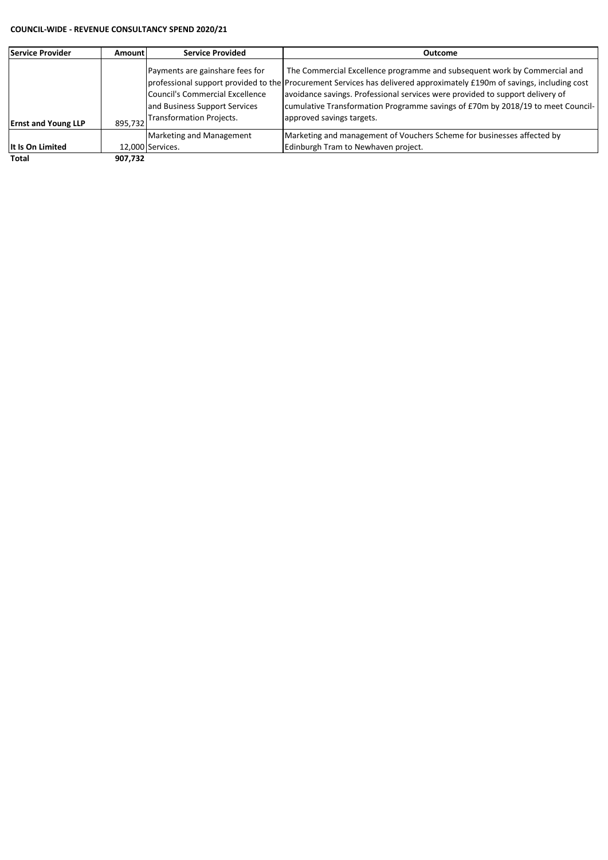#### **COUNCIL-WIDE - REVENUE CONSULTANCY SPEND 2020/21**

| lService Provider          | Amountl | <b>Service Provided</b>                                                                                                                       | Outcome                                                                                                                                                                                                                                                                                                                                                                                              |
|----------------------------|---------|-----------------------------------------------------------------------------------------------------------------------------------------------|------------------------------------------------------------------------------------------------------------------------------------------------------------------------------------------------------------------------------------------------------------------------------------------------------------------------------------------------------------------------------------------------------|
| <b>Ernst and Young LLP</b> | 895.732 | Payments are gainshare fees for<br><b>Council's Commercial Excellence</b><br>and Business Support Services<br><b>Transformation Projects.</b> | The Commercial Excellence programme and subsequent work by Commercial and<br>professional support provided to the Procurement Services has delivered approximately £190m of savings, including cost<br>avoidance savings. Professional services were provided to support delivery of<br>cumulative Transformation Programme savings of £70m by 2018/19 to meet Council-<br>approved savings targets. |
|                            |         | Marketing and Management                                                                                                                      | Marketing and management of Vouchers Scheme for businesses affected by                                                                                                                                                                                                                                                                                                                               |
| It Is On Limited           |         | 12,000 Services.                                                                                                                              | Edinburgh Tram to Newhaven project.                                                                                                                                                                                                                                                                                                                                                                  |
| Total                      | 907.732 |                                                                                                                                               |                                                                                                                                                                                                                                                                                                                                                                                                      |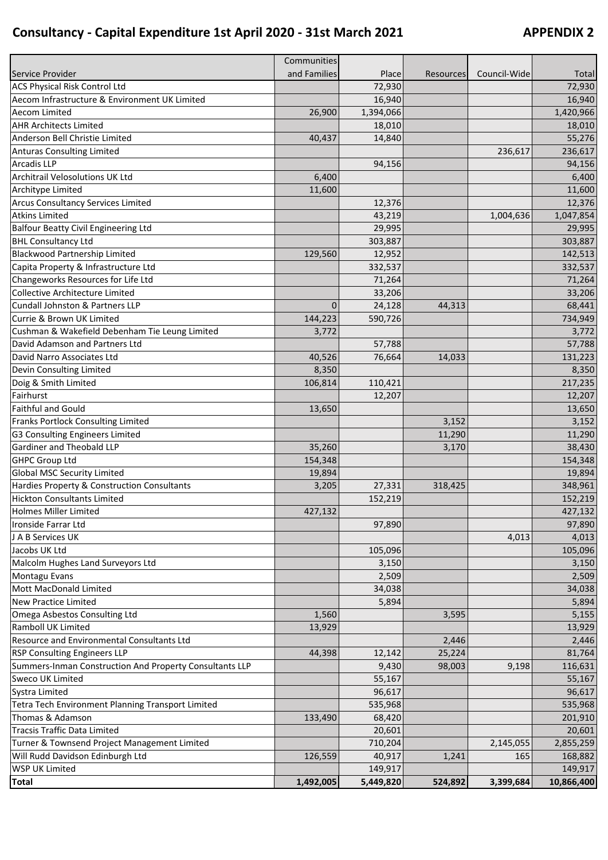## **Consultancy - Capital Expenditure 1st April 2020 - 31st March 2021 APPENDIX 2**

|                                                                                  | Communities  |                   |                  |                  |                      |
|----------------------------------------------------------------------------------|--------------|-------------------|------------------|------------------|----------------------|
| Service Provider                                                                 | and Families | Place             | <b>Resources</b> | Council-Wide     | Total                |
| ACS Physical Risk Control Ltd                                                    |              | 72,930            |                  |                  | 72,930               |
| Aecom Infrastructure & Environment UK Limited                                    |              | 16,940            |                  |                  | 16,940               |
| <b>Aecom Limited</b>                                                             | 26,900       | 1,394,066         |                  |                  | 1,420,966            |
| <b>AHR Architects Limited</b>                                                    |              | 18,010            |                  |                  | 18,010               |
| Anderson Bell Christie Limited                                                   | 40,437       | 14,840            |                  |                  | 55,276               |
| <b>Anturas Consulting Limited</b>                                                |              |                   |                  | 236,617          | 236,617              |
| Arcadis LLP                                                                      |              | 94,156            |                  |                  | 94,156               |
| Architrail Velosolutions UK Ltd                                                  | 6,400        |                   |                  |                  | 6,400                |
| Architype Limited                                                                | 11,600       |                   |                  |                  | 11,600               |
| <b>Arcus Consultancy Services Limited</b>                                        |              | 12,376            |                  |                  | 12,376               |
| <b>Atkins Limited</b>                                                            |              | 43,219            |                  | 1,004,636        | 1,047,854            |
| <b>Balfour Beatty Civil Engineering Ltd</b>                                      |              | 29,995            |                  |                  | 29,995               |
| <b>BHL Consultancy Ltd</b>                                                       |              | 303,887           |                  |                  | 303,887              |
| Blackwood Partnership Limited                                                    | 129,560      | 12,952            |                  |                  | 142,513              |
| Capita Property & Infrastructure Ltd                                             |              | 332,537           |                  |                  | 332,537              |
| Changeworks Resources for Life Ltd                                               |              | 71,264            |                  |                  | 71,264               |
| <b>Collective Architecture Limited</b>                                           |              | 33,206            |                  |                  | 33,206               |
| Cundall Johnston & Partners LLP                                                  | $\mathbf{0}$ | 24,128            | 44,313           |                  | 68,441               |
| Currie & Brown UK Limited                                                        | 144,223      | 590,726           |                  |                  | 734,949              |
| Cushman & Wakefield Debenham Tie Leung Limited                                   | 3,772        |                   |                  |                  | 3,772                |
| David Adamson and Partners Ltd                                                   |              | 57,788            |                  |                  | 57,788               |
| David Narro Associates Ltd                                                       | 40,526       | 76,664            | 14,033           |                  | 131,223              |
| Devin Consulting Limited                                                         | 8,350        |                   |                  |                  | 8,350                |
| Doig & Smith Limited                                                             | 106,814      | 110,421           |                  |                  | 217,235              |
| Fairhurst                                                                        |              | 12,207            |                  |                  | 12,207               |
| Faithful and Gould                                                               | 13,650       |                   |                  |                  | 13,650               |
| Franks Portlock Consulting Limited                                               |              |                   | 3,152            |                  | 3,152                |
| G3 Consulting Engineers Limited                                                  |              |                   | 11,290           |                  | 11,290               |
| Gardiner and Theobald LLP                                                        | 35,260       |                   | 3,170            |                  | 38,430               |
| <b>GHPC Group Ltd</b>                                                            | 154,348      |                   |                  |                  | 154,348              |
| <b>Global MSC Security Limited</b>                                               | 19,894       |                   |                  |                  | 19,894               |
| Hardies Property & Construction Consultants                                      | 3,205        | 27,331            | 318,425          |                  | 348,961              |
| <b>Hickton Consultants Limited</b>                                               |              | 152,219           |                  |                  | 152,219              |
| <b>Holmes Miller Limited</b>                                                     | 427,132      |                   |                  |                  | 427,132              |
| Ironside Farrar Ltd                                                              |              | 97,890            |                  |                  | 97,890               |
| J A B Services UK                                                                |              |                   |                  | 4,013            | 4,013                |
| Jacobs UK Ltd                                                                    |              | 105,096           |                  |                  | 105,096              |
| Malcolm Hughes Land Surveyors Ltd                                                |              | 3,150             |                  |                  | 3,150                |
| Montagu Evans                                                                    |              | 2,509             |                  |                  | 2,509                |
| Mott MacDonald Limited                                                           |              | 34,038            |                  |                  | 34,038               |
| New Practice Limited                                                             |              | 5,894             |                  |                  | 5,894                |
| Omega Asbestos Consulting Ltd                                                    | 1,560        |                   | 3,595            |                  | 5,155                |
| Ramboll UK Limited                                                               | 13,929       |                   |                  |                  | 13,929               |
| Resource and Environmental Consultants Ltd                                       |              |                   | 2,446            |                  | 2,446                |
| RSP Consulting Engineers LLP                                                     | 44,398       | 12,142            | 25,224           |                  | 81,764               |
| Summers-Inman Construction And Property Consultants LLP                          |              | 9,430             | 98,003           | 9,198            | 116,631              |
| Sweco UK Limited                                                                 |              | 55,167            |                  |                  | 55,167               |
| Systra Limited                                                                   |              | 96,617            |                  |                  | 96,617               |
| Tetra Tech Environment Planning Transport Limited                                |              | 535,968           |                  |                  | 535,968              |
| Thomas & Adamson                                                                 | 133,490      | 68,420            |                  |                  | 201,910              |
| <b>Tracsis Traffic Data Limited</b>                                              |              | 20,601            |                  |                  |                      |
|                                                                                  |              |                   |                  |                  | 20,601               |
| Turner & Townsend Project Management Limited<br>Will Rudd Davidson Edinburgh Ltd |              | 710,204<br>40,917 | 1,241            | 2,145,055<br>165 | 2,855,259<br>168,882 |
| WSP UK Limited                                                                   | 126,559      | 149,917           |                  |                  | 149,917              |
| <b>Total</b>                                                                     | 1,492,005    | 5,449,820         | 524,892          | 3,399,684        | 10,866,400           |
|                                                                                  |              |                   |                  |                  |                      |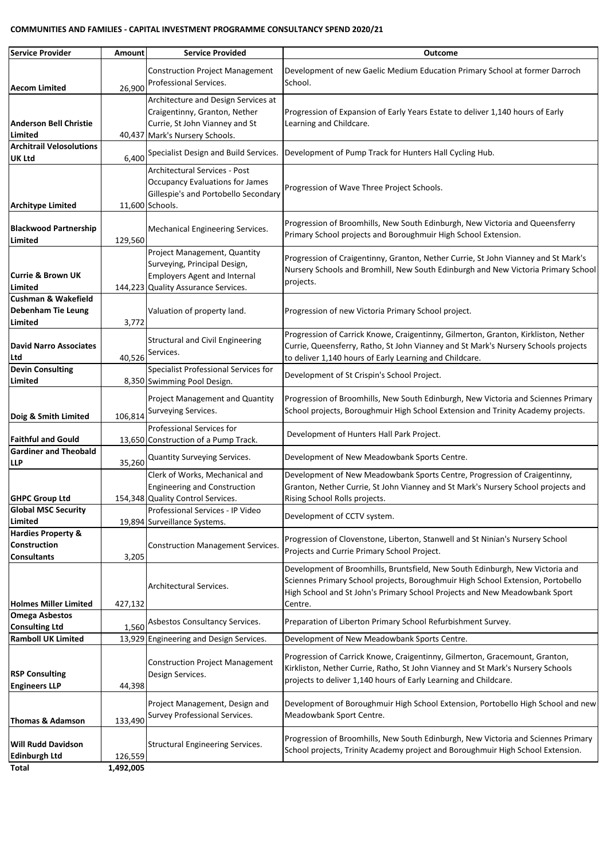#### **COMMUNITIES AND FAMILIES - CAPITAL INVESTMENT PROGRAMME CONSULTANCY SPEND 2020/21**

| <b>Service Provider</b>                                                    | Amount    | <b>Service Provided</b>                                                                                                                    | <b>Outcome</b>                                                                                                                                                                                                                                            |
|----------------------------------------------------------------------------|-----------|--------------------------------------------------------------------------------------------------------------------------------------------|-----------------------------------------------------------------------------------------------------------------------------------------------------------------------------------------------------------------------------------------------------------|
| <b>Aecom Limited</b>                                                       | 26,900    | <b>Construction Project Management</b><br>Professional Services.                                                                           | Development of new Gaelic Medium Education Primary School at former Darroch<br>School.                                                                                                                                                                    |
| <b>Anderson Bell Christie</b><br>Limited                                   |           | Architecture and Design Services at<br>Craigentinny, Granton, Nether<br>Currie, St John Vianney and St<br>40,437 Mark's Nursery Schools.   | Progression of Expansion of Early Years Estate to deliver 1,140 hours of Early<br>Learning and Childcare.                                                                                                                                                 |
| <b>Architrail Velosolutions</b><br><b>UK Ltd</b>                           | 6,400     | Specialist Design and Build Services.                                                                                                      | Development of Pump Track for Hunters Hall Cycling Hub.                                                                                                                                                                                                   |
| <b>Architype Limited</b>                                                   |           | <b>Architectural Services - Post</b><br><b>Occupancy Evaluations for James</b><br>Gillespie's and Portobello Secondary<br>11,600 Schools.  | Progression of Wave Three Project Schools.                                                                                                                                                                                                                |
| <b>Blackwood Partnership</b><br>Limited                                    | 129,560   | Mechanical Engineering Services.                                                                                                           | Progression of Broomhills, New South Edinburgh, New Victoria and Queensferry<br>Primary School projects and Boroughmuir High School Extension.                                                                                                            |
| <b>Currie &amp; Brown UK</b><br>Limited                                    |           | Project Management, Quantity<br>Surveying, Principal Design,<br><b>Employers Agent and Internal</b><br>144,223 Quality Assurance Services. | Progression of Craigentinny, Granton, Nether Currie, St John Vianney and St Mark's<br>Nursery Schools and Bromhill, New South Edinburgh and New Victoria Primary School<br>projects.                                                                      |
| <b>Cushman &amp; Wakefield</b><br><b>Debenham Tie Leung</b><br>Limited     | 3,772     | Valuation of property land.                                                                                                                | Progression of new Victoria Primary School project.                                                                                                                                                                                                       |
| <b>David Narro Associates</b><br>Ltd                                       | 40,526    | <b>Structural and Civil Engineering</b><br>Services.                                                                                       | Progression of Carrick Knowe, Craigentinny, Gilmerton, Granton, Kirkliston, Nether<br>Currie, Queensferry, Ratho, St John Vianney and St Mark's Nursery Schools projects<br>to deliver 1,140 hours of Early Learning and Childcare.                       |
| <b>Devin Consulting</b><br>Limited                                         |           | Specialist Professional Services for<br>8,350 Swimming Pool Design.                                                                        | Development of St Crispin's School Project.                                                                                                                                                                                                               |
| Doig & Smith Limited                                                       | 106,814   | Project Management and Quantity<br>Surveying Services.                                                                                     | Progression of Broomhills, New South Edinburgh, New Victoria and Sciennes Primary<br>School projects, Boroughmuir High School Extension and Trinity Academy projects.                                                                                     |
| <b>Faithful and Gould</b>                                                  |           | Professional Services for<br>13,650 Construction of a Pump Track.                                                                          | Development of Hunters Hall Park Project.                                                                                                                                                                                                                 |
| <b>Gardiner and Theobald</b><br>LLP                                        | 35,260    | Quantity Surveying Services.                                                                                                               | Development of New Meadowbank Sports Centre.                                                                                                                                                                                                              |
| <b>GHPC Group Ltd</b>                                                      |           | Clerk of Works, Mechanical and<br><b>Engineering and Construction</b><br>154,348 Quality Control Services.                                 | Development of New Meadowbank Sports Centre, Progression of Craigentinny,<br>Granton, Nether Currie, St John Vianney and St Mark's Nursery School projects and<br>Rising School Rolls projects.                                                           |
| <b>Global MSC Security</b><br>Limited                                      |           | Professional Services - IP Video<br>19,894 Surveillance Systems.                                                                           | Development of CCTV system.                                                                                                                                                                                                                               |
| <b>Hardies Property &amp;</b><br><b>Construction</b><br><b>Consultants</b> | 3,205     | <b>Construction Management Services.</b>                                                                                                   | Progression of Clovenstone, Liberton, Stanwell and St Ninian's Nursery School<br>Projects and Currie Primary School Project.                                                                                                                              |
| <b>Holmes Miller Limited</b>                                               | 427,132   | Architectural Services.                                                                                                                    | Development of Broomhills, Bruntsfield, New South Edinburgh, New Victoria and<br>Sciennes Primary School projects, Boroughmuir High School Extension, Portobello<br>High School and St John's Primary School Projects and New Meadowbank Sport<br>Centre. |
| <b>Omega Asbestos</b><br><b>Consulting Ltd</b>                             | 1,560     | Asbestos Consultancy Services.                                                                                                             | Preparation of Liberton Primary School Refurbishment Survey.                                                                                                                                                                                              |
| <b>Ramboll UK Limited</b>                                                  |           | 13,929 Engineering and Design Services.                                                                                                    | Development of New Meadowbank Sports Centre.                                                                                                                                                                                                              |
| <b>RSP Consulting</b><br><b>Engineers LLP</b>                              | 44,398    | <b>Construction Project Management</b><br>Design Services.                                                                                 | Progression of Carrick Knowe, Craigentinny, Gilmerton, Gracemount, Granton,<br>Kirkliston, Nether Currie, Ratho, St John Vianney and St Mark's Nursery Schools<br>projects to deliver 1,140 hours of Early Learning and Childcare.                        |
| Thomas & Adamson                                                           | 133,490   | Project Management, Design and<br>Survey Professional Services.                                                                            | Development of Boroughmuir High School Extension, Portobello High School and new<br>Meadowbank Sport Centre.                                                                                                                                              |
| <b>Will Rudd Davidson</b><br><b>Edinburgh Ltd</b>                          | 126,559   | <b>Structural Engineering Services.</b>                                                                                                    | Progression of Broomhills, New South Edinburgh, New Victoria and Sciennes Primary<br>School projects, Trinity Academy project and Boroughmuir High School Extension.                                                                                      |
| Total                                                                      | 1,492,005 |                                                                                                                                            |                                                                                                                                                                                                                                                           |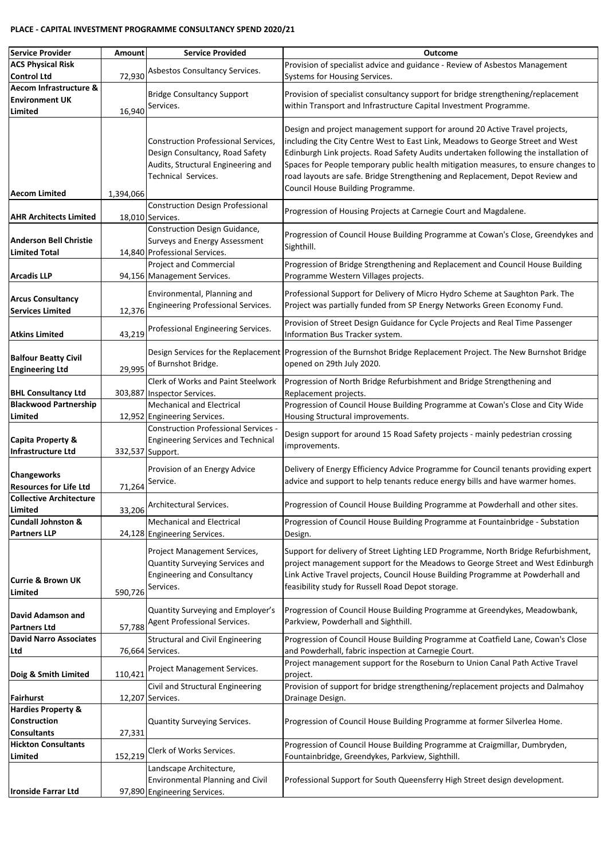#### **PLACE - CAPITAL INVESTMENT PROGRAMME CONSULTANCY SPEND 2020/21**

| Service Provider                                          | Amount    | <b>Service Provided</b>                                                                                                                    | <b>Outcome</b>                                                                                                                                                                                                                                                                                                                                                                                                                                                     |
|-----------------------------------------------------------|-----------|--------------------------------------------------------------------------------------------------------------------------------------------|--------------------------------------------------------------------------------------------------------------------------------------------------------------------------------------------------------------------------------------------------------------------------------------------------------------------------------------------------------------------------------------------------------------------------------------------------------------------|
| <b>ACS Physical Risk</b>                                  |           | Asbestos Consultancy Services.                                                                                                             | Provision of specialist advice and guidance - Review of Asbestos Management                                                                                                                                                                                                                                                                                                                                                                                        |
| <b>Control Ltd</b>                                        | 72,930    |                                                                                                                                            | Systems for Housing Services.                                                                                                                                                                                                                                                                                                                                                                                                                                      |
| Aecom Infrastructure &                                    |           | <b>Bridge Consultancy Support</b>                                                                                                          | Provision of specialist consultancy support for bridge strengthening/replacement                                                                                                                                                                                                                                                                                                                                                                                   |
| <b>Environment UK</b>                                     |           | Services.                                                                                                                                  | within Transport and Infrastructure Capital Investment Programme.                                                                                                                                                                                                                                                                                                                                                                                                  |
| Limited                                                   | 16,940    |                                                                                                                                            |                                                                                                                                                                                                                                                                                                                                                                                                                                                                    |
| <b>Aecom Limited</b>                                      | 1,394,066 | <b>Construction Professional Services,</b><br>Design Consultancy, Road Safety<br>Audits, Structural Engineering and<br>Technical Services. | Design and project management support for around 20 Active Travel projects,<br>including the City Centre West to East Link, Meadows to George Street and West<br>Edinburgh Link projects. Road Safety Audits undertaken following the installation of<br>Spaces for People temporary public health mitigation measures, to ensure changes to<br>road layouts are safe. Bridge Strengthening and Replacement, Depot Review and<br>Council House Building Programme. |
| <b>AHR Architects Limited</b>                             |           | <b>Construction Design Professional</b><br>18,010 Services.                                                                                | Progression of Housing Projects at Carnegie Court and Magdalene.                                                                                                                                                                                                                                                                                                                                                                                                   |
| <b>Anderson Bell Christie</b>                             |           | Construction Design Guidance,<br>Surveys and Energy Assessment                                                                             | Progression of Council House Building Programme at Cowan's Close, Greendykes and                                                                                                                                                                                                                                                                                                                                                                                   |
| <b>Limited Total</b>                                      |           | 14,840 Professional Services.                                                                                                              | Sighthill.                                                                                                                                                                                                                                                                                                                                                                                                                                                         |
|                                                           |           | Project and Commercial                                                                                                                     | Progression of Bridge Strengthening and Replacement and Council House Building                                                                                                                                                                                                                                                                                                                                                                                     |
| <b>Arcadis LLP</b>                                        |           | 94,156 Management Services.                                                                                                                | Programme Western Villages projects.                                                                                                                                                                                                                                                                                                                                                                                                                               |
| <b>Arcus Consultancy</b><br><b>Services Limited</b>       | 12,376    | Environmental, Planning and<br>Engineering Professional Services.                                                                          | Professional Support for Delivery of Micro Hydro Scheme at Saughton Park. The<br>Project was partially funded from SP Energy Networks Green Economy Fund.                                                                                                                                                                                                                                                                                                          |
| <b>Atkins Limited</b>                                     | 43,219    | Professional Engineering Services.                                                                                                         | Provision of Street Design Guidance for Cycle Projects and Real Time Passenger<br>Information Bus Tracker system.                                                                                                                                                                                                                                                                                                                                                  |
| <b>Balfour Beatty Civil</b><br><b>Engineering Ltd</b>     | 29,995    | of Burnshot Bridge.                                                                                                                        | Design Services for the Replacement Progression of the Burnshot Bridge Replacement Project. The New Burnshot Bridge<br>opened on 29th July 2020.                                                                                                                                                                                                                                                                                                                   |
| <b>BHL Consultancy Ltd</b>                                |           | <b>Clerk of Works and Paint Steelwork</b><br>303,887 Inspector Services.                                                                   | Progression of North Bridge Refurbishment and Bridge Strengthening and<br>Replacement projects.                                                                                                                                                                                                                                                                                                                                                                    |
| <b>Blackwood Partnership</b>                              |           | <b>Mechanical and Electrical</b>                                                                                                           | Progression of Council House Building Programme at Cowan's Close and City Wide                                                                                                                                                                                                                                                                                                                                                                                     |
| Limited                                                   |           | 12,952 Engineering Services.                                                                                                               | Housing Structural improvements.                                                                                                                                                                                                                                                                                                                                                                                                                                   |
| <b>Capita Property &amp;</b><br><b>Infrastructure Ltd</b> |           | <b>Construction Professional Services -</b><br><b>Engineering Services and Technical</b><br>332,537 Support.                               | Design support for around 15 Road Safety projects - mainly pedestrian crossing<br>improvements.                                                                                                                                                                                                                                                                                                                                                                    |
| <b>Changeworks</b><br><b>Resources for Life Ltd</b>       | 71,264    | Provision of an Energy Advice<br>Service.                                                                                                  | Delivery of Energy Efficiency Advice Programme for Council tenants providing expert<br>advice and support to help tenants reduce energy bills and have warmer homes.                                                                                                                                                                                                                                                                                               |
| <b>Collective Architecture</b><br>Limited                 | 33,206    | Architectural Services.                                                                                                                    | Progression of Council House Building Programme at Powderhall and other sites.                                                                                                                                                                                                                                                                                                                                                                                     |
| <b>Cundall Johnston &amp;</b><br><b>Partners LLP</b>      |           | <b>Mechanical and Electrical</b><br>24,128 Engineering Services.                                                                           | Progression of Council House Building Programme at Fountainbridge - Substation<br>Design.                                                                                                                                                                                                                                                                                                                                                                          |
| <b>Currie &amp; Brown UK</b><br>Limited                   | 590,726   | Project Management Services,<br>Quantity Surveying Services and<br><b>Engineering and Consultancy</b><br>Services.                         | Support for delivery of Street Lighting LED Programme, North Bridge Refurbishment,<br>project management support for the Meadows to George Street and West Edinburgh<br>Link Active Travel projects, Council House Building Programme at Powderhall and<br>feasibility study for Russell Road Depot storage.                                                                                                                                                       |
| David Adamson and<br><b>Partners Ltd</b>                  | 57,788    | Quantity Surveying and Employer's<br>Agent Professional Services.                                                                          | Progression of Council House Building Programme at Greendykes, Meadowbank,<br>Parkview, Powderhall and Sighthill.                                                                                                                                                                                                                                                                                                                                                  |
| <b>David Narro Associates</b><br>Ltd                      |           | Structural and Civil Engineering                                                                                                           | Progression of Council House Building Programme at Coatfield Lane, Cowan's Close                                                                                                                                                                                                                                                                                                                                                                                   |
|                                                           |           | 76,664 Services.                                                                                                                           | and Powderhall, fabric inspection at Carnegie Court.<br>Project management support for the Roseburn to Union Canal Path Active Travel                                                                                                                                                                                                                                                                                                                              |
| Doig & Smith Limited                                      | 110,421   | Project Management Services.                                                                                                               | project.                                                                                                                                                                                                                                                                                                                                                                                                                                                           |
| <b>Fairhurst</b>                                          |           | Civil and Structural Engineering<br>12,207 Services.                                                                                       | Provision of support for bridge strengthening/replacement projects and Dalmahoy                                                                                                                                                                                                                                                                                                                                                                                    |
| <b>Hardies Property &amp;</b>                             |           |                                                                                                                                            | Drainage Design.                                                                                                                                                                                                                                                                                                                                                                                                                                                   |
| <b>Construction</b><br><b>Consultants</b>                 | 27,331    | Quantity Surveying Services.                                                                                                               | Progression of Council House Building Programme at former Silverlea Home.                                                                                                                                                                                                                                                                                                                                                                                          |
| <b>Hickton Consultants</b><br>Limited                     | 152,219   | Clerk of Works Services.                                                                                                                   | Progression of Council House Building Programme at Craigmillar, Dumbryden,<br>Fountainbridge, Greendykes, Parkview, Sighthill.                                                                                                                                                                                                                                                                                                                                     |
|                                                           |           | Landscape Architecture,                                                                                                                    |                                                                                                                                                                                                                                                                                                                                                                                                                                                                    |
|                                                           |           | Environmental Planning and Civil                                                                                                           | Professional Support for South Queensferry High Street design development.                                                                                                                                                                                                                                                                                                                                                                                         |
| <b>Ironside Farrar Ltd</b>                                |           | 97,890 Engineering Services.                                                                                                               |                                                                                                                                                                                                                                                                                                                                                                                                                                                                    |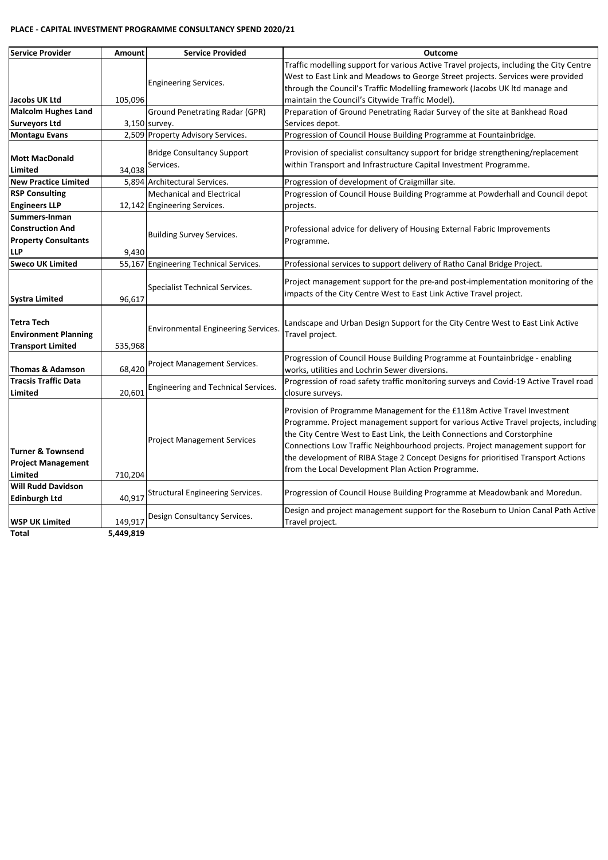#### **PLACE - CAPITAL INVESTMENT PROGRAMME CONSULTANCY SPEND 2020/21**

| <b>Service Provider</b>                                                               | Amount  | <b>Service Provided</b>                                          | Outcome                                                                                                                                                                                                                                                                                                                                                                                                                                                                  |
|---------------------------------------------------------------------------------------|---------|------------------------------------------------------------------|--------------------------------------------------------------------------------------------------------------------------------------------------------------------------------------------------------------------------------------------------------------------------------------------------------------------------------------------------------------------------------------------------------------------------------------------------------------------------|
| Jacobs UK Ltd                                                                         | 105,096 | Engineering Services.                                            | Traffic modelling support for various Active Travel projects, including the City Centre<br>West to East Link and Meadows to George Street projects. Services were provided<br>through the Council's Traffic Modelling framework (Jacobs UK Itd manage and<br>maintain the Council's Citywide Traffic Model).                                                                                                                                                             |
| <b>Malcolm Hughes Land</b>                                                            |         | <b>Ground Penetrating Radar (GPR)</b>                            | Preparation of Ground Penetrating Radar Survey of the site at Bankhead Road                                                                                                                                                                                                                                                                                                                                                                                              |
| <b>Surveyors Ltd</b>                                                                  |         | 3,150 survey.                                                    | Services depot.                                                                                                                                                                                                                                                                                                                                                                                                                                                          |
| <b>Montagu Evans</b>                                                                  |         | 2,509 Property Advisory Services.                                | Progression of Council House Building Programme at Fountainbridge.                                                                                                                                                                                                                                                                                                                                                                                                       |
| <b>Mott MacDonald</b><br>Limited                                                      | 34,038  | <b>Bridge Consultancy Support</b><br>Services.                   | Provision of specialist consultancy support for bridge strengthening/replacement<br>within Transport and Infrastructure Capital Investment Programme.                                                                                                                                                                                                                                                                                                                    |
| <b>New Practice Limited</b>                                                           | 5,894   | Architectural Services.                                          | Progression of development of Craigmillar site.                                                                                                                                                                                                                                                                                                                                                                                                                          |
| <b>RSP Consulting</b><br><b>Engineers LLP</b>                                         |         | <b>Mechanical and Electrical</b><br>12,142 Engineering Services. | Progression of Council House Building Programme at Powderhall and Council depot<br>projects.                                                                                                                                                                                                                                                                                                                                                                             |
| Summers-Inman<br><b>Construction And</b><br><b>Property Consultants</b><br><b>LLP</b> | 9,430   | <b>Building Survey Services.</b>                                 | Professional advice for delivery of Housing External Fabric Improvements<br>Programme.                                                                                                                                                                                                                                                                                                                                                                                   |
| <b>Sweco UK Limited</b>                                                               |         | 55,167 Engineering Technical Services.                           | Professional services to support delivery of Ratho Canal Bridge Project.                                                                                                                                                                                                                                                                                                                                                                                                 |
| Systra Limited                                                                        | 96,617  | Specialist Technical Services.                                   | Project management support for the pre-and post-implementation monitoring of the<br>impacts of the City Centre West to East Link Active Travel project.                                                                                                                                                                                                                                                                                                                  |
| <b>Tetra Tech</b><br><b>Environment Planning</b><br><b>Transport Limited</b>          | 535,968 | <b>Environmental Engineering Services.</b>                       | Landscape and Urban Design Support for the City Centre West to East Link Active<br>Travel project.                                                                                                                                                                                                                                                                                                                                                                       |
| <b>Thomas &amp; Adamson</b>                                                           | 68,420  | Project Management Services.                                     | Progression of Council House Building Programme at Fountainbridge - enabling<br>works, utilities and Lochrin Sewer diversions.                                                                                                                                                                                                                                                                                                                                           |
| <b>Tracsis Traffic Data</b><br>Limited                                                | 20,601  | Engineering and Technical Services.                              | Progression of road safety traffic monitoring surveys and Covid-19 Active Travel road<br>closure surveys.                                                                                                                                                                                                                                                                                                                                                                |
| Turner & Townsend<br><b>Project Management</b><br>Limited                             | 710,204 | <b>Project Management Services</b>                               | Provision of Programme Management for the £118m Active Travel Investment<br>Programme. Project management support for various Active Travel projects, including<br>the City Centre West to East Link, the Leith Connections and Corstorphine<br>Connections Low Traffic Neighbourhood projects. Project management support for<br>the development of RIBA Stage 2 Concept Designs for prioritised Transport Actions<br>from the Local Development Plan Action Programme. |
| <b>Will Rudd Davidson</b><br><b>Edinburgh Ltd</b>                                     | 40,917  | Structural Engineering Services.                                 | Progression of Council House Building Programme at Meadowbank and Moredun.                                                                                                                                                                                                                                                                                                                                                                                               |
| <b>WSP UK Limited</b>                                                                 | 149,917 | Design Consultancy Services.                                     | Design and project management support for the Roseburn to Union Canal Path Active<br>Travel project.                                                                                                                                                                                                                                                                                                                                                                     |

**Total 5,449,819**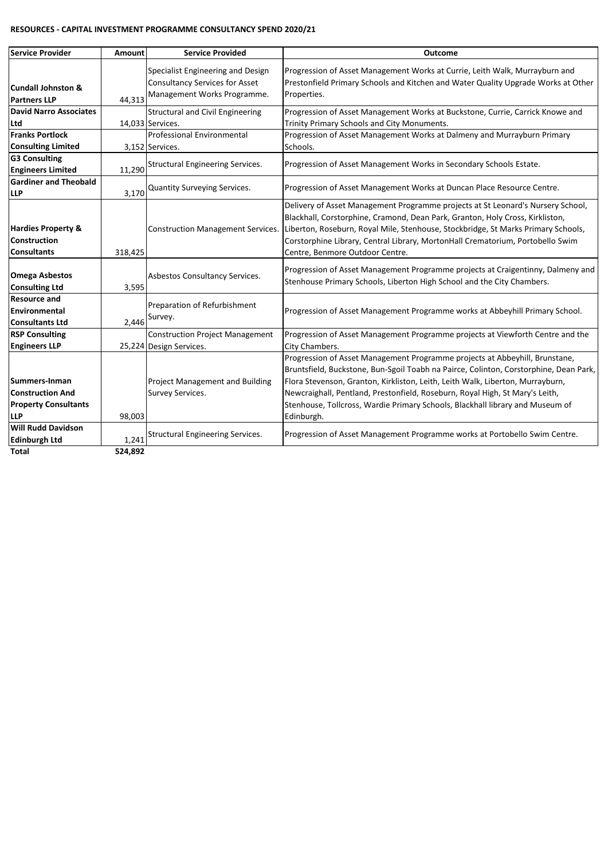#### **RESOURCES - CAPITAL INVESTMENT PROGRAMME CONSULTANCY SPEND 2020/21**

| Service Provider                                                                      | Amount           | <b>Service Provided</b>                                                                                   | <b>Outcome</b>                                                                                                                                                                                                                                                                                                                                                                                                                        |
|---------------------------------------------------------------------------------------|------------------|-----------------------------------------------------------------------------------------------------------|---------------------------------------------------------------------------------------------------------------------------------------------------------------------------------------------------------------------------------------------------------------------------------------------------------------------------------------------------------------------------------------------------------------------------------------|
| Cundall Johnston &<br><b>Partners LLP</b>                                             | 44,313           | Specialist Engineering and Design<br><b>Consultancy Services for Asset</b><br>Management Works Programme. | Progression of Asset Management Works at Currie, Leith Walk, Murrayburn and<br>Prestonfield Primary Schools and Kitchen and Water Quality Upgrade Works at Other<br>Properties.                                                                                                                                                                                                                                                       |
| <b>David Narro Associates</b><br>Ltd                                                  |                  | <b>Structural and Civil Engineering</b><br>14,033 Services.                                               | Progression of Asset Management Works at Buckstone, Currie, Carrick Knowe and<br>Trinity Primary Schools and City Monuments.                                                                                                                                                                                                                                                                                                          |
| <b>Franks Portlock</b><br><b>Consulting Limited</b>                                   |                  | Professional Environmental<br>3,152 Services.                                                             | Progression of Asset Management Works at Dalmeny and Murrayburn Primary<br>Schools.                                                                                                                                                                                                                                                                                                                                                   |
| <b>G3 Consulting</b><br><b>Engineers Limited</b>                                      | 11,290           | <b>Structural Engineering Services.</b>                                                                   | Progression of Asset Management Works in Secondary Schools Estate.                                                                                                                                                                                                                                                                                                                                                                    |
| <b>Gardiner and Theobald</b><br><b>LLP</b>                                            | 3,170            | Quantity Surveying Services.                                                                              | Progression of Asset Management Works at Duncan Place Resource Centre.                                                                                                                                                                                                                                                                                                                                                                |
| <b>Hardies Property &amp;</b><br>Construction<br><b>Consultants</b>                   | 318,425          | <b>Construction Management Services.</b>                                                                  | Delivery of Asset Management Programme projects at St Leonard's Nursery School,<br>Blackhall, Corstorphine, Cramond, Dean Park, Granton, Holy Cross, Kirkliston,<br>Liberton, Roseburn, Royal Mile, Stenhouse, Stockbridge, St Marks Primary Schools,<br>Corstorphine Library, Central Library, MortonHall Crematorium, Portobello Swim<br>Centre, Benmore Outdoor Centre.                                                            |
| <b>Omega Asbestos</b><br><b>Consulting Ltd</b>                                        | 3,595            | Asbestos Consultancy Services.                                                                            | Progression of Asset Management Programme projects at Craigentinny, Dalmeny and<br>Stenhouse Primary Schools, Liberton High School and the City Chambers.                                                                                                                                                                                                                                                                             |
| <b>Resource and</b><br><b>Environmental</b><br><b>Consultants Ltd</b>                 | 2.446            | Preparation of Refurbishment<br>Survey.                                                                   | Progression of Asset Management Programme works at Abbeyhill Primary School.                                                                                                                                                                                                                                                                                                                                                          |
| <b>RSP Consulting</b><br><b>Engineers LLP</b>                                         |                  | <b>Construction Project Management</b><br>25,224 Design Services.                                         | Progression of Asset Management Programme projects at Viewforth Centre and the<br>City Chambers.                                                                                                                                                                                                                                                                                                                                      |
| Summers-Inman<br><b>Construction And</b><br><b>Property Consultants</b><br><b>LLP</b> | 98,003           | <b>Project Management and Building</b><br>Survey Services.                                                | Progression of Asset Management Programme projects at Abbeyhill, Brunstane,<br>Bruntsfield, Buckstone, Bun-Sgoil Toabh na Pairce, Colinton, Corstorphine, Dean Park,<br>Flora Stevenson, Granton, Kirkliston, Leith, Leith Walk, Liberton, Murrayburn,<br>Newcraighall, Pentland, Prestonfield, Roseburn, Royal High, St Mary's Leith,<br>Stenhouse, Tollcross, Wardie Primary Schools, Blackhall library and Museum of<br>Edinburgh. |
| <b>Will Rudd Davidson</b><br><b>Edinburgh Ltd</b><br>Total                            | 1,241<br>524,892 | Structural Engineering Services.                                                                          | Progression of Asset Management Programme works at Portobello Swim Centre.                                                                                                                                                                                                                                                                                                                                                            |